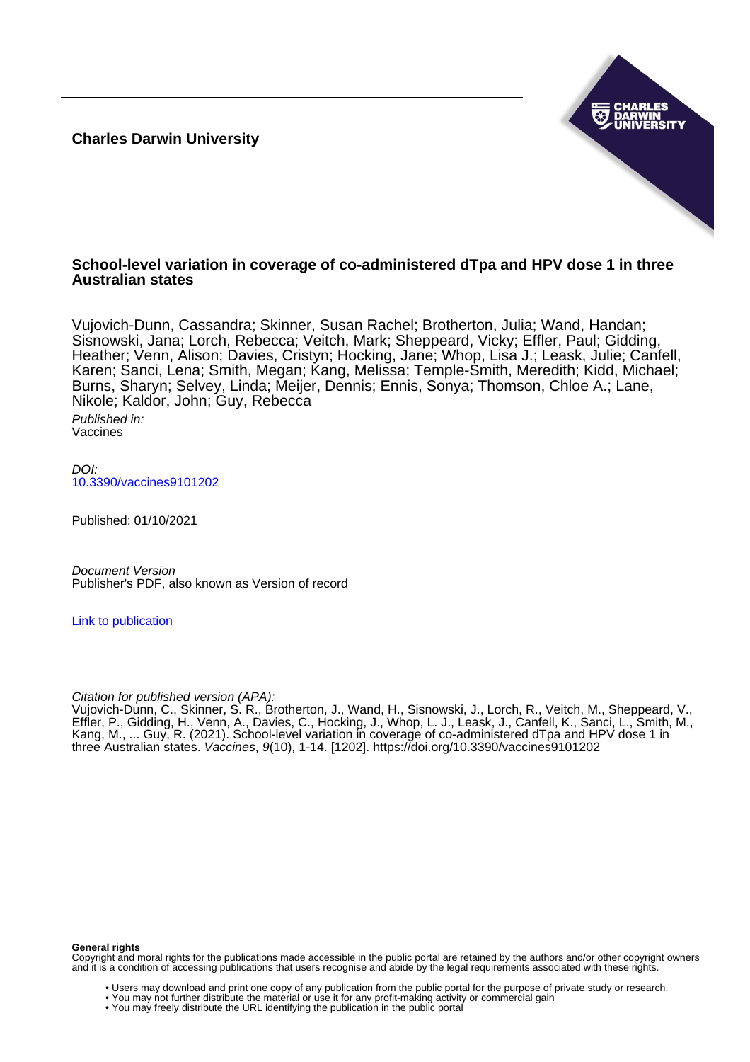**Charles Darwin University**



## **School-level variation in coverage of co-administered dTpa and HPV dose 1 in three Australian states**

Vujovich-Dunn, Cassandra; Skinner, Susan Rachel; Brotherton, Julia; Wand, Handan; Sisnowski, Jana; Lorch, Rebecca; Veitch, Mark; Sheppeard, Vicky; Effler, Paul; Gidding, Heather; Venn, Alison; Davies, Cristyn; Hocking, Jane; Whop, Lisa J.; Leask, Julie; Canfell, Karen; Sanci, Lena; Smith, Megan; Kang, Melissa; Temple-Smith, Meredith; Kidd, Michael; Burns, Sharyn; Selvey, Linda; Meijer, Dennis; Ennis, Sonya; Thomson, Chloe A.; Lane, Nikole; Kaldor, John; Guy, Rebecca

Published in: Vaccines

 $D$ [10.3390/vaccines9101202](https://doi.org/10.3390/vaccines9101202)

Published: 01/10/2021

Document Version Publisher's PDF, also known as Version of record

[Link to publication](https://researchers.cdu.edu.au/en/publications/9d0eec5f-5a11-4318-b8ac-81436f660836)

Citation for published version (APA):

Vujovich-Dunn, C., Skinner, S. R., Brotherton, J., Wand, H., Sisnowski, J., Lorch, R., Veitch, M., Sheppeard, V., Effler, P., Gidding, H., Venn, A., Davies, C., Hocking, J., Whop, L. J., Leask, J., Canfell, K., Sanci, L., Smith, M., Kang, M., ... Guy, R. (2021). School-level variation in coverage of co-administered dTpa and HPV dose 1 in three Australian states. Vaccines, 9(10), 1-14. [1202].<https://doi.org/10.3390/vaccines9101202>

### **General rights**

Copyright and moral rights for the publications made accessible in the public portal are retained by the authors and/or other copyright owners and it is a condition of accessing publications that users recognise and abide by the legal requirements associated with these rights.

- Users may download and print one copy of any publication from the public portal for the purpose of private study or research.
- You may not further distribute the material or use it for any profit-making activity or commercial gain
- You may freely distribute the URL identifying the publication in the public portal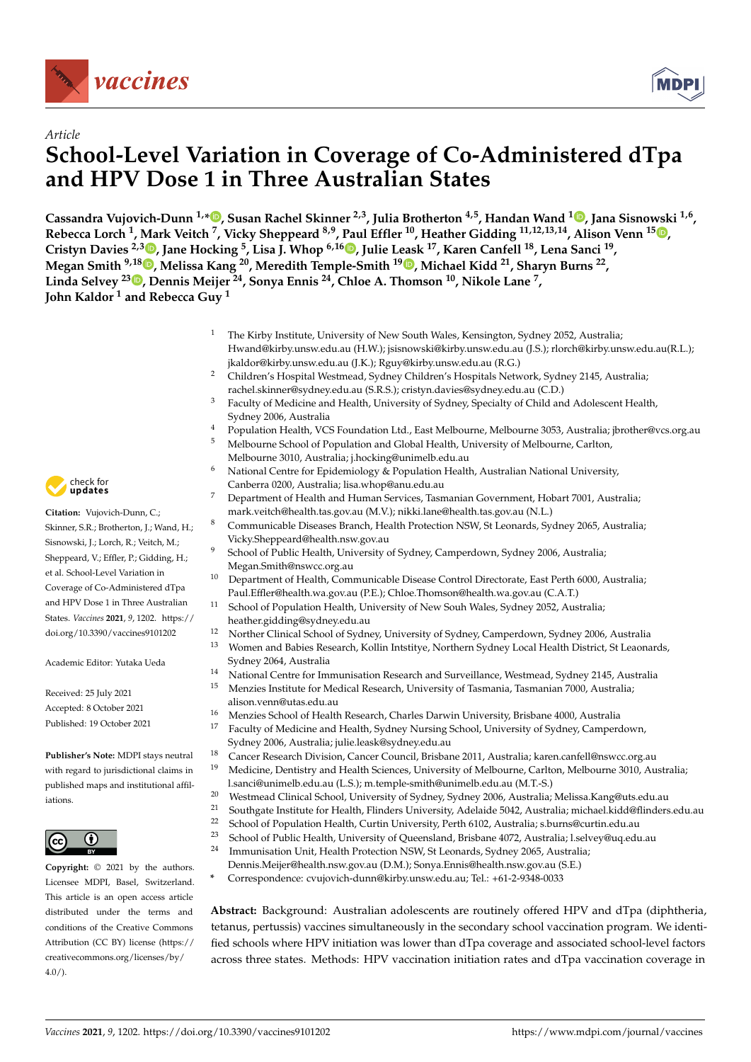



# *Article* **School-Level Variation in Coverage of Co-Administered dTpa and HPV Dose 1 in Three Australian States**

**Cassandra Vujovich-Dunn 1,[\\*](https://orcid.org/0000-0002-7938-8030) , Susan Rachel Skinner 2,3, Julia Brotherton 4,5, Handan Wand <sup>1</sup> [,](https://orcid.org/0000-0002-8279-7652) Jana Sisnowski 1,6 , Rebecca Lorch <sup>1</sup> , Mark Veitch <sup>7</sup> , Vicky Sheppeard 8,9, Paul Effler <sup>10</sup>, Heather Gidding 11,12,13,14, Alison Venn <sup>15</sup> [,](https://orcid.org/0000-0001-7090-1398) Cristyn Davies 2,3 [,](https://orcid.org/0000-0003-1506-3285) Jane Hocking <sup>5</sup> , Lisa J. Whop 6,16 [,](https://orcid.org/0000-0003-4816-2933) Julie Leask <sup>17</sup>, Karen Canfell <sup>18</sup>, Lena Sanci <sup>19</sup> , Megan Smith 9,18 [,](https://orcid.org/0000-0002-0401-2653) Melissa Kang <sup>20</sup>, Meredith Temple-Smith <sup>19</sup> [,](https://orcid.org/0000-0003-1296-9591) Michael Kidd <sup>21</sup>, Sharyn Burns <sup>22</sup> , Linda Selvey <sup>23</sup> [,](https://orcid.org/0000-0001-8493-0974) Dennis Meijer <sup>24</sup>, Sonya Ennis <sup>24</sup>, Chloe A. Thomson <sup>10</sup>, Nikole Lane <sup>7</sup> , John Kaldor <sup>1</sup> and Rebecca Guy <sup>1</sup>**

- <sup>1</sup> The Kirby Institute, University of New South Wales, Kensington, Sydney 2052, Australia; Hwand@kirby.unsw.edu.au (H.W.); jsisnowski@kirby.unsw.edu.au (J.S.); rlorch@kirby.unsw.edu.au(R.L.); jkaldor@kirby.unsw.edu.au (J.K.); Rguy@kirby.unsw.edu.au (R.G.)
- <sup>2</sup> Children's Hospital Westmead, Sydney Children's Hospitals Network, Sydney 2145, Australia; rachel.skinner@sydney.edu.au (S.R.S.); cristyn.davies@sydney.edu.au (C.D.)
- <sup>3</sup> Faculty of Medicine and Health, University of Sydney, Specialty of Child and Adolescent Health, Sydney 2006, Australia
- <sup>4</sup> Population Health, VCS Foundation Ltd., East Melbourne, Melbourne 3053, Australia; jbrother@vcs.org.au
- <sup>5</sup> Melbourne School of Population and Global Health, University of Melbourne, Carlton, Melbourne 3010, Australia; j.hocking@unimelb.edu.au
- <sup>6</sup> National Centre for Epidemiology & Population Health, Australian National University, Canberra 0200, Australia; lisa.whop@anu.edu.au
- <sup>7</sup> Department of Health and Human Services, Tasmanian Government, Hobart 7001, Australia; mark.veitch@health.tas.gov.au (M.V.); nikki.lane@health.tas.gov.au (N.L.)
- <sup>8</sup> Communicable Diseases Branch, Health Protection NSW, St Leonards, Sydney 2065, Australia; Vicky.Sheppeard@health.nsw.gov.au
- School of Public Health, University of Sydney, Camperdown, Sydney 2006, Australia; Megan.Smith@nswcc.org.au
- <sup>10</sup> Department of Health, Communicable Disease Control Directorate, East Perth 6000, Australia; Paul.Effler@health.wa.gov.au (P.E.); Chloe.Thomson@health.wa.gov.au (C.A.T.)
- School of Population Health, University of New Souh Wales, Sydney 2052, Australia;
- heather.gidding@sydney.edu.au
- <sup>12</sup> Norther Clinical School of Sydney, University of Sydney, Camperdown, Sydney 2006, Australia
- <sup>13</sup> Women and Babies Research, Kollin Intstitye, Northern Sydney Local Health District, St Leaonards, Sydney 2064, Australia
- <sup>14</sup> National Centre for Immunisation Research and Surveillance, Westmead, Sydney 2145, Australia<br><sup>15</sup> Monzies Institute for Medical Research University of Tarmania Temanian 7000, Australia
- <sup>15</sup> Menzies Institute for Medical Research, University of Tasmania, Tasmanian 7000, Australia; alison.venn@utas.edu.au
- <sup>16</sup> Menzies School of Health Research, Charles Darwin University, Brisbane 4000, Australia<br><sup>17</sup> Easylty of Medisine and Health, Sydney Nursine School, University of Sydney Comparat
- <sup>17</sup> Faculty of Medicine and Health, Sydney Nursing School, University of Sydney, Camperdown, Sydney 2006, Australia; julie.leask@sydney.edu.au
- <sup>18</sup> Cancer Research Division, Cancer Council, Brisbane 2011, Australia; karen.canfell@nswcc.org.au
- <sup>19</sup> Medicine, Dentistry and Health Sciences, University of Melbourne, Carlton, Melbourne 3010, Australia; l.sanci@unimelb.edu.au (L.S.); m.temple-smith@unimelb.edu.au (M.T.-S.)
- 20 Westmead Clinical School, University of Sydney, Sydney 2006, Australia; Melissa.Kang@uts.edu.au<br>21 September 1951; Jackiette for Harlik Flinder: University Adelaide 5042, Australia michael bidd@flinder
- <sup>21</sup> Southgate Institute for Health, Flinders University, Adelaide 5042, Australia; michael.kidd@flinders.edu.au<br><sup>22</sup> School of Population Hoalth, Curtin University, Perth 6102, Australia: s burns@curtin edu.au
- <sup>22</sup> School of Population Health, Curtin University, Perth 6102, Australia; s.burns@curtin.edu.au<br><sup>23</sup> School of Public Health, University of Queensland, Brisbane 4072, Australia; Leekwelius edu
- <sup>23</sup> School of Public Health, University of Queensland, Brisbane 4072, Australia; l.selvey@uq.edu.au<br><sup>24</sup> Immunication Unit Health Protection NSW St Leonarde, Sydney 2065, Australia:
- Immunisation Unit, Health Protection NSW, St Leonards, Sydney 2065, Australia;
- Dennis.Meijer@health.nsw.gov.au (D.M.); Sonya.Ennis@health.nsw.gov.au (S.E.)
- **\*** Correspondence: cvujovich-dunn@kirby.unsw.edu.au; Tel.: +61-2-9348-0033

**Abstract:** Background: Australian adolescents are routinely offered HPV and dTpa (diphtheria, tetanus, pertussis) vaccines simultaneously in the secondary school vaccination program. We identified schools where HPV initiation was lower than dTpa coverage and associated school-level factors across three states. Methods: HPV vaccination initiation rates and dTpa vaccination coverage in



**Citation:** Vujovich-Dunn, C.; Skinner, S.R.; Brotherton, J.; Wand, H.; Sisnowski, J.; Lorch, R.; Veitch, M.; Sheppeard, V.; Effler, P.; Gidding, H.; et al. School-Level Variation in Coverage of Co-Administered dTpa and HPV Dose 1 in Three Australian States. *Vaccines* **2021**, *9*, 1202. [https://](https://doi.org/10.3390/vaccines9101202) [doi.org/10.3390/vaccines9101202](https://doi.org/10.3390/vaccines9101202)

Academic Editor: Yutaka Ueda

Received: 25 July 2021 Accepted: 8 October 2021 Published: 19 October 2021

**Publisher's Note:** MDPI stays neutral with regard to jurisdictional claims in published maps and institutional affiliations.



**Copyright:** © 2021 by the authors. Licensee MDPI, Basel, Switzerland. This article is an open access article distributed under the terms and conditions of the Creative Commons Attribution (CC BY) license (https:/[/](https://creativecommons.org/licenses/by/4.0/) [creativecommons.org/licenses/by/](https://creativecommons.org/licenses/by/4.0/)  $4.0/$ ).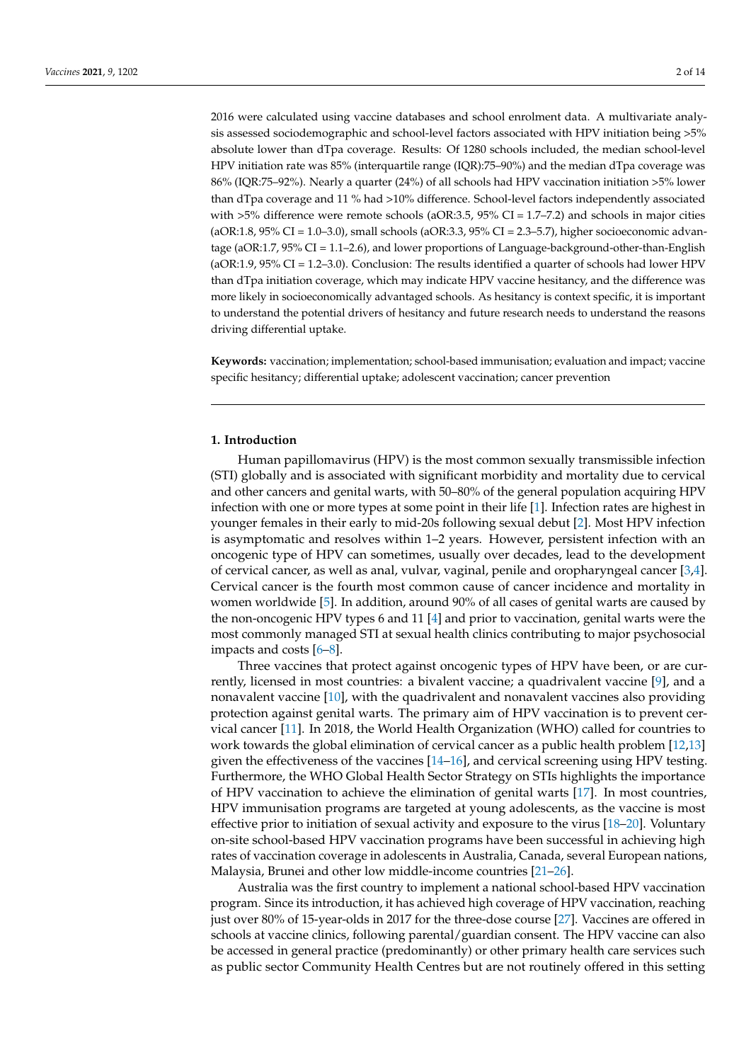2016 were calculated using vaccine databases and school enrolment data. A multivariate analysis assessed sociodemographic and school-level factors associated with HPV initiation being >5% absolute lower than dTpa coverage. Results: Of 1280 schools included, the median school-level HPV initiation rate was 85% (interquartile range (IQR):75–90%) and the median dTpa coverage was 86% (IQR:75–92%). Nearly a quarter (24%) of all schools had HPV vaccination initiation >5% lower than dTpa coverage and 11 % had >10% difference. School-level factors independently associated with  $>5\%$  difference were remote schools (aOR:3.5, 95% CI = 1.7–7.2) and schools in major cities (aOR:1.8, 95% CI = 1.0–3.0), small schools (aOR:3.3, 95% CI = 2.3–5.7), higher socioeconomic advantage (aOR:1.7, 95% CI = 1.1–2.6), and lower proportions of Language-background-other-than-English (aOR:1.9, 95% CI = 1.2–3.0). Conclusion: The results identified a quarter of schools had lower HPV than dTpa initiation coverage, which may indicate HPV vaccine hesitancy, and the difference was more likely in socioeconomically advantaged schools. As hesitancy is context specific, it is important to understand the potential drivers of hesitancy and future research needs to understand the reasons driving differential uptake.

**Keywords:** vaccination; implementation; school-based immunisation; evaluation and impact; vaccine specific hesitancy; differential uptake; adolescent vaccination; cancer prevention

## **1. Introduction**

Human papillomavirus (HPV) is the most common sexually transmissible infection (STI) globally and is associated with significant morbidity and mortality due to cervical and other cancers and genital warts, with 50–80% of the general population acquiring HPV infection with one or more types at some point in their life [\[1\]](#page-11-0). Infection rates are highest in younger females in their early to mid-20s following sexual debut [\[2\]](#page-11-1). Most HPV infection is asymptomatic and resolves within 1–2 years. However, persistent infection with an oncogenic type of HPV can sometimes, usually over decades, lead to the development of cervical cancer, as well as anal, vulvar, vaginal, penile and oropharyngeal cancer [\[3,](#page-11-2)[4\]](#page-11-3). Cervical cancer is the fourth most common cause of cancer incidence and mortality in women worldwide [\[5\]](#page-11-4). In addition, around 90% of all cases of genital warts are caused by the non-oncogenic HPV types 6 and 11 [\[4\]](#page-11-3) and prior to vaccination, genital warts were the most commonly managed STI at sexual health clinics contributing to major psychosocial impacts and costs [\[6](#page-11-5)[–8\]](#page-12-0).

Three vaccines that protect against oncogenic types of HPV have been, or are currently, licensed in most countries: a bivalent vaccine; a quadrivalent vaccine [\[9\]](#page-12-1), and a nonavalent vaccine [\[10\]](#page-12-2), with the quadrivalent and nonavalent vaccines also providing protection against genital warts. The primary aim of HPV vaccination is to prevent cervical cancer [\[11\]](#page-12-3). In 2018, the World Health Organization (WHO) called for countries to work towards the global elimination of cervical cancer as a public health problem [\[12](#page-12-4)[,13\]](#page-12-5) given the effectiveness of the vaccines [\[14–](#page-12-6)[16\]](#page-12-7), and cervical screening using HPV testing. Furthermore, the WHO Global Health Sector Strategy on STIs highlights the importance of HPV vaccination to achieve the elimination of genital warts [\[17\]](#page-12-8). In most countries, HPV immunisation programs are targeted at young adolescents, as the vaccine is most effective prior to initiation of sexual activity and exposure to the virus [\[18–](#page-12-9)[20\]](#page-12-10). Voluntary on-site school-based HPV vaccination programs have been successful in achieving high rates of vaccination coverage in adolescents in Australia, Canada, several European nations, Malaysia, Brunei and other low middle-income countries [\[21](#page-12-11)[–26\]](#page-12-12).

Australia was the first country to implement a national school-based HPV vaccination program. Since its introduction, it has achieved high coverage of HPV vaccination, reaching just over 80% of 15-year-olds in 2017 for the three-dose course [\[27\]](#page-12-13). Vaccines are offered in schools at vaccine clinics, following parental/guardian consent. The HPV vaccine can also be accessed in general practice (predominantly) or other primary health care services such as public sector Community Health Centres but are not routinely offered in this setting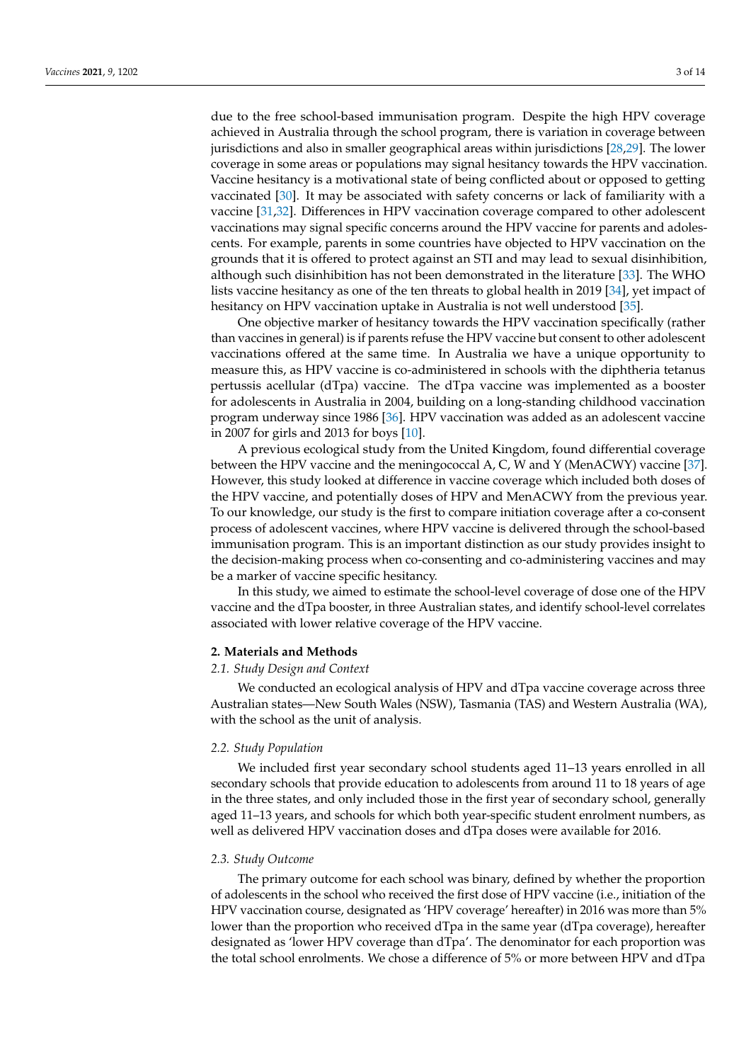due to the free school-based immunisation program. Despite the high HPV coverage achieved in Australia through the school program, there is variation in coverage between jurisdictions and also in smaller geographical areas within jurisdictions [\[28](#page-12-14)[,29\]](#page-12-15). The lower coverage in some areas or populations may signal hesitancy towards the HPV vaccination. Vaccine hesitancy is a motivational state of being conflicted about or opposed to getting vaccinated [\[30\]](#page-12-16). It may be associated with safety concerns or lack of familiarity with a vaccine [\[31,](#page-12-17)[32\]](#page-12-18). Differences in HPV vaccination coverage compared to other adolescent vaccinations may signal specific concerns around the HPV vaccine for parents and adolescents. For example, parents in some countries have objected to HPV vaccination on the grounds that it is offered to protect against an STI and may lead to sexual disinhibition, although such disinhibition has not been demonstrated in the literature [\[33\]](#page-13-0). The WHO lists vaccine hesitancy as one of the ten threats to global health in 2019 [\[34\]](#page-13-1), yet impact of hesitancy on HPV vaccination uptake in Australia is not well understood [\[35\]](#page-13-2).

One objective marker of hesitancy towards the HPV vaccination specifically (rather than vaccines in general) is if parents refuse the HPV vaccine but consent to other adolescent vaccinations offered at the same time. In Australia we have a unique opportunity to measure this, as HPV vaccine is co-administered in schools with the diphtheria tetanus pertussis acellular (dTpa) vaccine. The dTpa vaccine was implemented as a booster for adolescents in Australia in 2004, building on a long-standing childhood vaccination program underway since 1986 [\[36\]](#page-13-3). HPV vaccination was added as an adolescent vaccine in 2007 for girls and 2013 for boys [\[10\]](#page-12-2).

A previous ecological study from the United Kingdom, found differential coverage between the HPV vaccine and the meningococcal A, C, W and Y (MenACWY) vaccine [\[37\]](#page-13-4). However, this study looked at difference in vaccine coverage which included both doses of the HPV vaccine, and potentially doses of HPV and MenACWY from the previous year. To our knowledge, our study is the first to compare initiation coverage after a co-consent process of adolescent vaccines, where HPV vaccine is delivered through the school-based immunisation program. This is an important distinction as our study provides insight to the decision-making process when co-consenting and co-administering vaccines and may be a marker of vaccine specific hesitancy.

In this study, we aimed to estimate the school-level coverage of dose one of the HPV vaccine and the dTpa booster, in three Australian states, and identify school-level correlates associated with lower relative coverage of the HPV vaccine.

### **2. Materials and Methods**

## *2.1. Study Design and Context*

We conducted an ecological analysis of HPV and dTpa vaccine coverage across three Australian states—New South Wales (NSW), Tasmania (TAS) and Western Australia (WA), with the school as the unit of analysis.

### *2.2. Study Population*

We included first year secondary school students aged 11–13 years enrolled in all secondary schools that provide education to adolescents from around 11 to 18 years of age in the three states, and only included those in the first year of secondary school, generally aged 11–13 years, and schools for which both year-specific student enrolment numbers, as well as delivered HPV vaccination doses and dTpa doses were available for 2016.

### *2.3. Study Outcome*

The primary outcome for each school was binary, defined by whether the proportion of adolescents in the school who received the first dose of HPV vaccine (i.e., initiation of the HPV vaccination course, designated as 'HPV coverage' hereafter) in 2016 was more than 5% lower than the proportion who received dTpa in the same year (dTpa coverage), hereafter designated as 'lower HPV coverage than dTpa'. The denominator for each proportion was the total school enrolments. We chose a difference of 5% or more between HPV and dTpa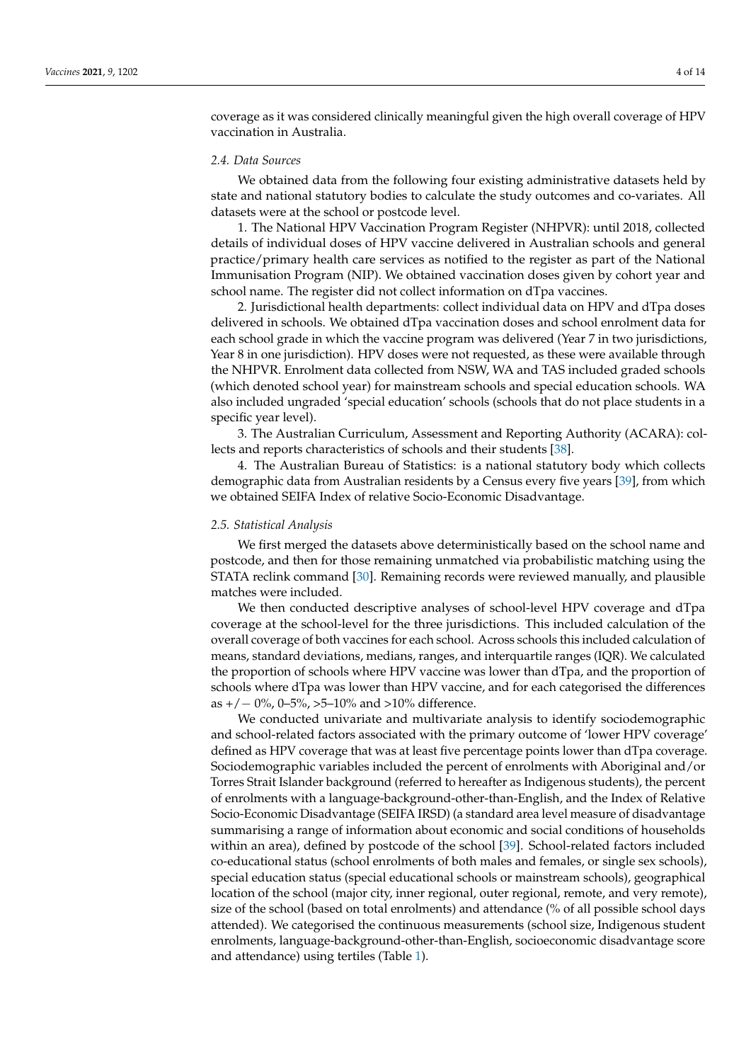coverage as it was considered clinically meaningful given the high overall coverage of HPV vaccination in Australia.

## *2.4. Data Sources*

We obtained data from the following four existing administrative datasets held by state and national statutory bodies to calculate the study outcomes and co-variates. All datasets were at the school or postcode level.

1. The National HPV Vaccination Program Register (NHPVR): until 2018, collected details of individual doses of HPV vaccine delivered in Australian schools and general practice/primary health care services as notified to the register as part of the National Immunisation Program (NIP). We obtained vaccination doses given by cohort year and school name. The register did not collect information on dTpa vaccines.

2. Jurisdictional health departments: collect individual data on HPV and dTpa doses delivered in schools. We obtained dTpa vaccination doses and school enrolment data for each school grade in which the vaccine program was delivered (Year 7 in two jurisdictions, Year 8 in one jurisdiction). HPV doses were not requested, as these were available through the NHPVR. Enrolment data collected from NSW, WA and TAS included graded schools (which denoted school year) for mainstream schools and special education schools. WA also included ungraded 'special education' schools (schools that do not place students in a specific year level).

3. The Australian Curriculum, Assessment and Reporting Authority (ACARA): collects and reports characteristics of schools and their students [\[38\]](#page-13-5).

4. The Australian Bureau of Statistics: is a national statutory body which collects demographic data from Australian residents by a Census every five years [\[39\]](#page-13-6), from which we obtained SEIFA Index of relative Socio-Economic Disadvantage.

#### *2.5. Statistical Analysis*

We first merged the datasets above deterministically based on the school name and postcode, and then for those remaining unmatched via probabilistic matching using the STATA reclink command [\[30\]](#page-12-16). Remaining records were reviewed manually, and plausible matches were included.

We then conducted descriptive analyses of school-level HPV coverage and dTpa coverage at the school-level for the three jurisdictions. This included calculation of the overall coverage of both vaccines for each school. Across schools this included calculation of means, standard deviations, medians, ranges, and interquartile ranges (IQR). We calculated the proportion of schools where HPV vaccine was lower than dTpa, and the proportion of schools where dTpa was lower than HPV vaccine, and for each categorised the differences as  $+/-$  0%, 0–5%, >5–10% and >10% difference.

We conducted univariate and multivariate analysis to identify sociodemographic and school-related factors associated with the primary outcome of 'lower HPV coverage' defined as HPV coverage that was at least five percentage points lower than dTpa coverage. Sociodemographic variables included the percent of enrolments with Aboriginal and/or Torres Strait Islander background (referred to hereafter as Indigenous students), the percent of enrolments with a language-background-other-than-English, and the Index of Relative Socio-Economic Disadvantage (SEIFA IRSD) (a standard area level measure of disadvantage summarising a range of information about economic and social conditions of households within an area), defined by postcode of the school [\[39\]](#page-13-6). School-related factors included co-educational status (school enrolments of both males and females, or single sex schools), special education status (special educational schools or mainstream schools), geographical location of the school (major city, inner regional, outer regional, remote, and very remote), size of the school (based on total enrolments) and attendance (% of all possible school days attended). We categorised the continuous measurements (school size, Indigenous student enrolments, language-background-other-than-English, socioeconomic disadvantage score and attendance) using tertiles (Table [1\)](#page-5-0).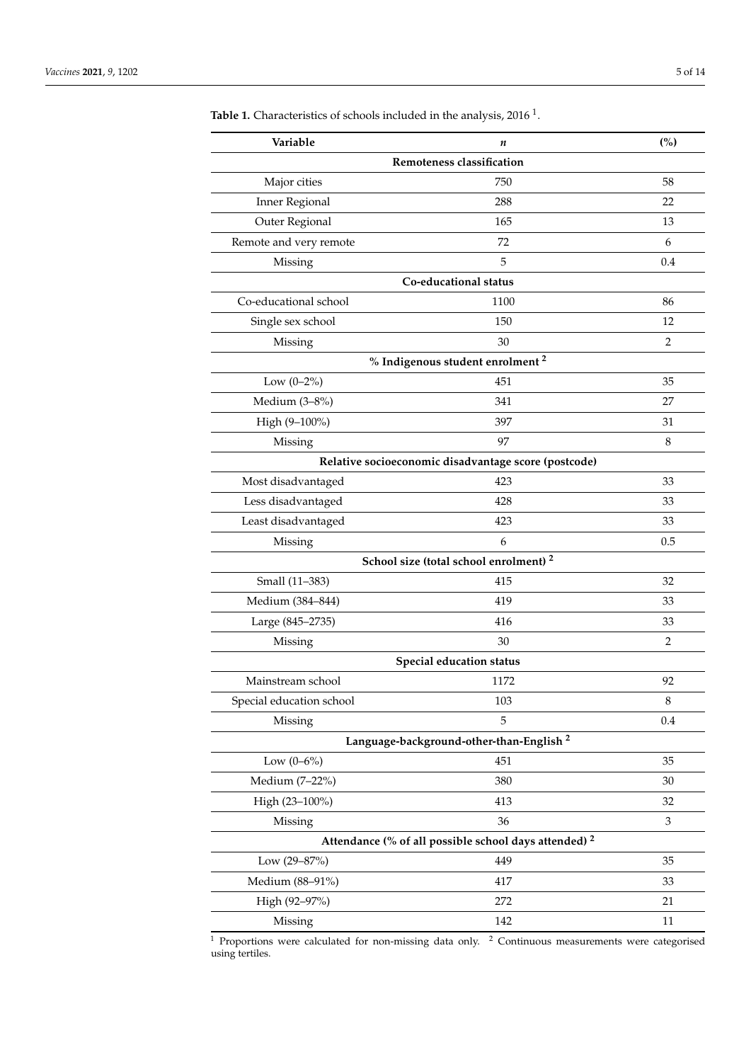| Variable                 | n                                                                                                                                                                                                                                                                                                                                                                                                                                                                                                                                                                                                                                                                                                                                             | (%) |  |  |  |  |
|--------------------------|-----------------------------------------------------------------------------------------------------------------------------------------------------------------------------------------------------------------------------------------------------------------------------------------------------------------------------------------------------------------------------------------------------------------------------------------------------------------------------------------------------------------------------------------------------------------------------------------------------------------------------------------------------------------------------------------------------------------------------------------------|-----|--|--|--|--|
|                          |                                                                                                                                                                                                                                                                                                                                                                                                                                                                                                                                                                                                                                                                                                                                               |     |  |  |  |  |
| Major cities             | 750                                                                                                                                                                                                                                                                                                                                                                                                                                                                                                                                                                                                                                                                                                                                           | 58  |  |  |  |  |
| <b>Inner Regional</b>    | 288                                                                                                                                                                                                                                                                                                                                                                                                                                                                                                                                                                                                                                                                                                                                           | 22  |  |  |  |  |
| Outer Regional           | 165                                                                                                                                                                                                                                                                                                                                                                                                                                                                                                                                                                                                                                                                                                                                           | 13  |  |  |  |  |
| Remote and very remote   | 72                                                                                                                                                                                                                                                                                                                                                                                                                                                                                                                                                                                                                                                                                                                                            | 6   |  |  |  |  |
| Missing                  | 5                                                                                                                                                                                                                                                                                                                                                                                                                                                                                                                                                                                                                                                                                                                                             | 0.4 |  |  |  |  |
|                          | Remoteness classification<br>Co-educational status<br>1100<br>86<br>150<br>12<br>30<br>2<br>Missing<br>% Indigenous student enrolment <sup>2</sup><br>451<br>35<br>341<br>27<br>397<br>31<br>97<br>Missing<br>8<br>Relative socioeconomic disadvantage score (postcode)<br>423<br>33<br>428<br>33<br>423<br>33<br>6<br>0.5<br>Missing<br>School size (total school enrolment) <sup>2</sup><br>415<br>32<br>419<br>33<br>416<br>33<br>30<br>2<br>Missing<br>Special education status<br>1172<br>92<br>103<br>8<br>Missing<br>5<br>$0.4\,$<br>Language-background-other-than-English <sup>2</sup><br>451<br>35<br>380<br>30<br>413<br>32<br>36<br>3<br>Missing<br>Attendance (% of all possible school days attended) <sup>2</sup><br>449<br>35 |     |  |  |  |  |
| Co-educational school    |                                                                                                                                                                                                                                                                                                                                                                                                                                                                                                                                                                                                                                                                                                                                               |     |  |  |  |  |
| Single sex school        |                                                                                                                                                                                                                                                                                                                                                                                                                                                                                                                                                                                                                                                                                                                                               |     |  |  |  |  |
|                          |                                                                                                                                                                                                                                                                                                                                                                                                                                                                                                                                                                                                                                                                                                                                               |     |  |  |  |  |
|                          | Low $(0-2\%)$<br>Medium (3-8%)<br>High (9-100%)<br>Small (11-383)<br>Low $(0-6\%)$                                                                                                                                                                                                                                                                                                                                                                                                                                                                                                                                                                                                                                                            |     |  |  |  |  |
|                          |                                                                                                                                                                                                                                                                                                                                                                                                                                                                                                                                                                                                                                                                                                                                               |     |  |  |  |  |
|                          |                                                                                                                                                                                                                                                                                                                                                                                                                                                                                                                                                                                                                                                                                                                                               |     |  |  |  |  |
|                          |                                                                                                                                                                                                                                                                                                                                                                                                                                                                                                                                                                                                                                                                                                                                               |     |  |  |  |  |
|                          |                                                                                                                                                                                                                                                                                                                                                                                                                                                                                                                                                                                                                                                                                                                                               |     |  |  |  |  |
|                          |                                                                                                                                                                                                                                                                                                                                                                                                                                                                                                                                                                                                                                                                                                                                               |     |  |  |  |  |
| Most disadvantaged       |                                                                                                                                                                                                                                                                                                                                                                                                                                                                                                                                                                                                                                                                                                                                               |     |  |  |  |  |
| Less disadvantaged       |                                                                                                                                                                                                                                                                                                                                                                                                                                                                                                                                                                                                                                                                                                                                               |     |  |  |  |  |
| Least disadvantaged      |                                                                                                                                                                                                                                                                                                                                                                                                                                                                                                                                                                                                                                                                                                                                               |     |  |  |  |  |
|                          |                                                                                                                                                                                                                                                                                                                                                                                                                                                                                                                                                                                                                                                                                                                                               |     |  |  |  |  |
|                          |                                                                                                                                                                                                                                                                                                                                                                                                                                                                                                                                                                                                                                                                                                                                               |     |  |  |  |  |
|                          |                                                                                                                                                                                                                                                                                                                                                                                                                                                                                                                                                                                                                                                                                                                                               |     |  |  |  |  |
| Medium (384-844)         |                                                                                                                                                                                                                                                                                                                                                                                                                                                                                                                                                                                                                                                                                                                                               |     |  |  |  |  |
| Large (845-2735)         |                                                                                                                                                                                                                                                                                                                                                                                                                                                                                                                                                                                                                                                                                                                                               |     |  |  |  |  |
|                          |                                                                                                                                                                                                                                                                                                                                                                                                                                                                                                                                                                                                                                                                                                                                               |     |  |  |  |  |
|                          |                                                                                                                                                                                                                                                                                                                                                                                                                                                                                                                                                                                                                                                                                                                                               |     |  |  |  |  |
| Mainstream school        |                                                                                                                                                                                                                                                                                                                                                                                                                                                                                                                                                                                                                                                                                                                                               |     |  |  |  |  |
| Special education school |                                                                                                                                                                                                                                                                                                                                                                                                                                                                                                                                                                                                                                                                                                                                               |     |  |  |  |  |
|                          |                                                                                                                                                                                                                                                                                                                                                                                                                                                                                                                                                                                                                                                                                                                                               |     |  |  |  |  |
|                          |                                                                                                                                                                                                                                                                                                                                                                                                                                                                                                                                                                                                                                                                                                                                               |     |  |  |  |  |
|                          |                                                                                                                                                                                                                                                                                                                                                                                                                                                                                                                                                                                                                                                                                                                                               |     |  |  |  |  |
| Medium (7-22%)           |                                                                                                                                                                                                                                                                                                                                                                                                                                                                                                                                                                                                                                                                                                                                               |     |  |  |  |  |
| High (23-100%)           |                                                                                                                                                                                                                                                                                                                                                                                                                                                                                                                                                                                                                                                                                                                                               |     |  |  |  |  |
|                          |                                                                                                                                                                                                                                                                                                                                                                                                                                                                                                                                                                                                                                                                                                                                               |     |  |  |  |  |
|                          |                                                                                                                                                                                                                                                                                                                                                                                                                                                                                                                                                                                                                                                                                                                                               |     |  |  |  |  |
| Low (29-87%)             |                                                                                                                                                                                                                                                                                                                                                                                                                                                                                                                                                                                                                                                                                                                                               |     |  |  |  |  |
| Medium (88-91%)          | 417                                                                                                                                                                                                                                                                                                                                                                                                                                                                                                                                                                                                                                                                                                                                           | 33  |  |  |  |  |
| High (92-97%)            | 272                                                                                                                                                                                                                                                                                                                                                                                                                                                                                                                                                                                                                                                                                                                                           | 21  |  |  |  |  |
| Missing                  | 142                                                                                                                                                                                                                                                                                                                                                                                                                                                                                                                                                                                                                                                                                                                                           | 11  |  |  |  |  |

<span id="page-5-0"></span>**Table 1.** Characteristics of schools included in the analysis,  $2016<sup>1</sup>$ .

 $1$  Proportions were calculated for non-missing data only.  $2$  Continuous measurements were categorised using tertiles.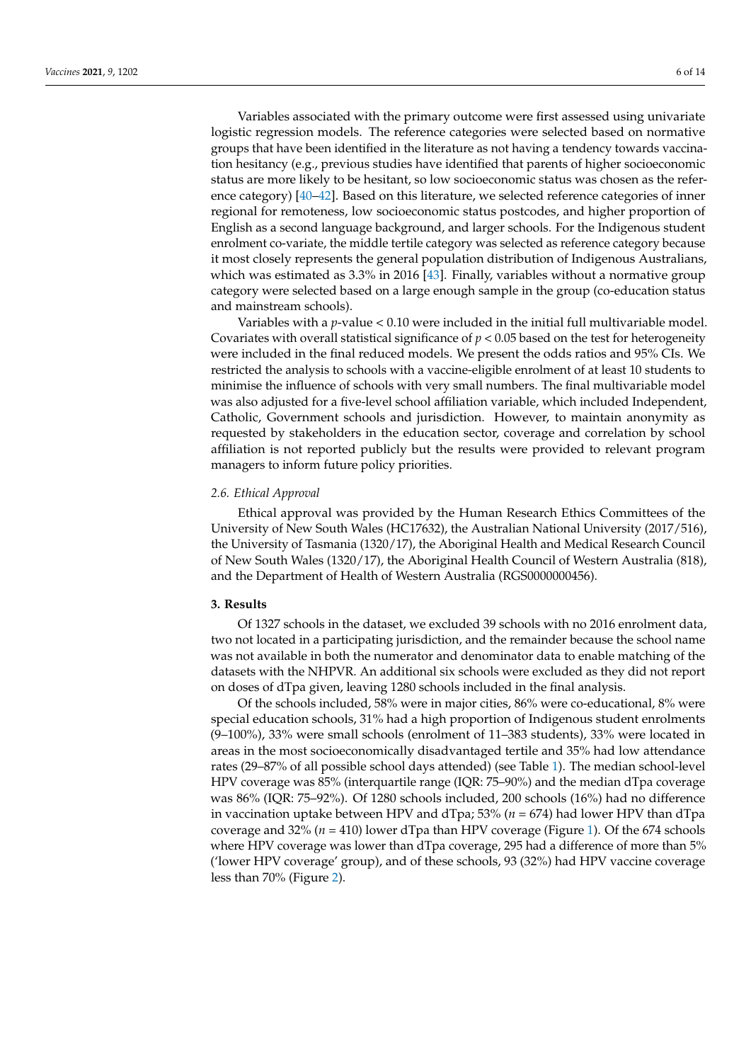Variables associated with the primary outcome were first assessed using univariate logistic regression models. The reference categories were selected based on normative groups that have been identified in the literature as not having a tendency towards vaccination hesitancy (e.g., previous studies have identified that parents of higher socioeconomic status are more likely to be hesitant, so low socioeconomic status was chosen as the reference category) [\[40–](#page-13-7)[42\]](#page-13-8). Based on this literature, we selected reference categories of inner regional for remoteness, low socioeconomic status postcodes, and higher proportion of English as a second language background, and larger schools. For the Indigenous student enrolment co-variate, the middle tertile category was selected as reference category because it most closely represents the general population distribution of Indigenous Australians, which was estimated as 3.3% in 2016 [\[43\]](#page-13-9). Finally, variables without a normative group category were selected based on a large enough sample in the group (co-education status and mainstream schools).

Variables with a *p*-value < 0.10 were included in the initial full multivariable model. Covariates with overall statistical significance of  $p < 0.05$  based on the test for heterogeneity were included in the final reduced models. We present the odds ratios and 95% CIs. We restricted the analysis to schools with a vaccine-eligible enrolment of at least 10 students to minimise the influence of schools with very small numbers. The final multivariable model was also adjusted for a five-level school affiliation variable, which included Independent, Catholic, Government schools and jurisdiction. However, to maintain anonymity as requested by stakeholders in the education sector, coverage and correlation by school affiliation is not reported publicly but the results were provided to relevant program managers to inform future policy priorities.

## *2.6. Ethical Approval*

Ethical approval was provided by the Human Research Ethics Committees of the University of New South Wales (HC17632), the Australian National University (2017/516), the University of Tasmania (1320/17), the Aboriginal Health and Medical Research Council of New South Wales (1320/17), the Aboriginal Health Council of Western Australia (818), and the Department of Health of Western Australia (RGS0000000456).

## **3. Results**

Of 1327 schools in the dataset, we excluded 39 schools with no 2016 enrolment data, two not located in a participating jurisdiction, and the remainder because the school name was not available in both the numerator and denominator data to enable matching of the datasets with the NHPVR. An additional six schools were excluded as they did not report on doses of dTpa given, leaving 1280 schools included in the final analysis.

Of the schools included, 58% were in major cities, 86% were co-educational, 8% were special education schools, 31% had a high proportion of Indigenous student enrolments (9–100%), 33% were small schools (enrolment of 11–383 students), 33% were located in areas in the most socioeconomically disadvantaged tertile and 35% had low attendance rates (29–87% of all possible school days attended) (see Table [1\)](#page-5-0). The median school-level HPV coverage was 85% (interquartile range (IQR: 75–90%) and the median dTpa coverage was 86% (IQR: 75–92%). Of 1280 schools included, 200 schools (16%) had no difference in vaccination uptake between HPV and dTpa; 53% ( $n = 674$ ) had lower HPV than dTpa coverage and 32% (*n* = 410) lower dTpa than HPV coverage (Figure [1\)](#page-7-0). Of the 674 schools where HPV coverage was lower than dTpa coverage, 295 had a difference of more than 5% ('lower HPV coverage' group), and of these schools, 93 (32%) had HPV vaccine coverage less than 70% (Figure [2\)](#page-7-1).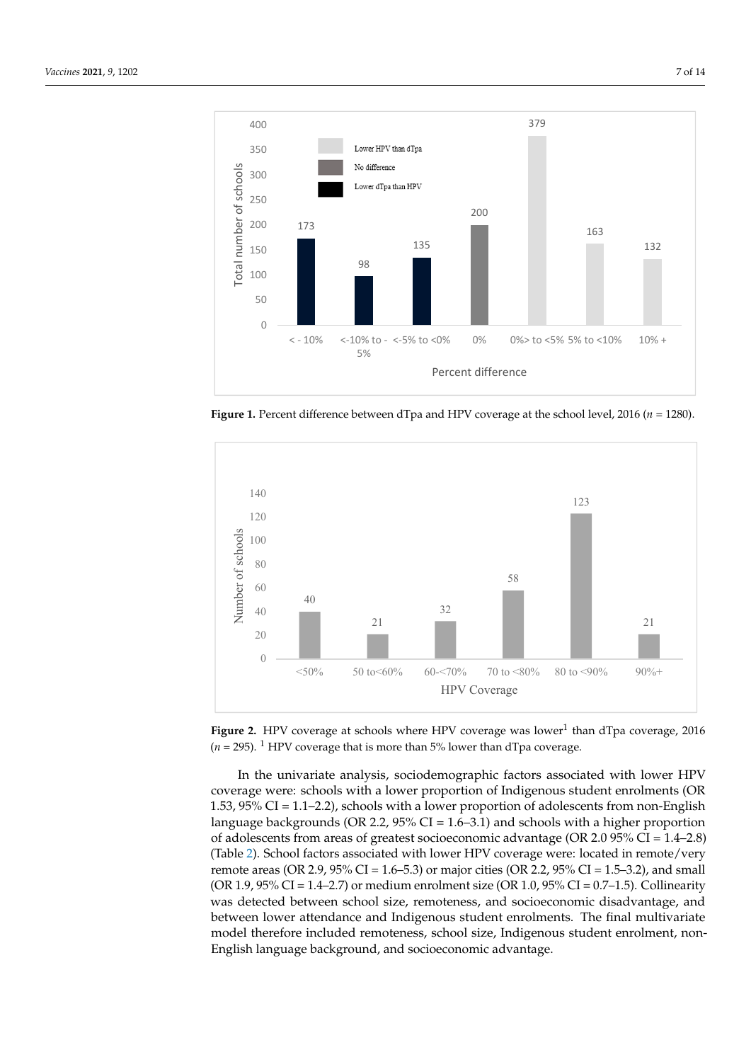<span id="page-7-0"></span>

**Figure 1.** Percent difference between dTpa and HPV coverage at the school level, 2016 ( $n = 1280$ ).

<span id="page-7-1"></span>

Figure 2. HPV coverage at schools where HPV coverage was lower<sup>1</sup> than dTpa coverage, 2016  $(n = 295)$ . <sup>1</sup> HPV coverage that is more than 5% lower than dTpa coverage.

coverage were: schools with a lower proportion of Indigenous student enrolments (OR 1.53, 95% CI = 1.1–2.2), schools with a lower proportion of adolescents from non-English language backgrounds (OR 2.2,  $95\%$  CI = 1.6–3.1) and schools with a higher proportion of adolescents from areas of greatest socioeconomic advantage (OR 2.0  $95\%$  CI = 1.4–2.8) In the univariate analysis, sociodemographic factors associated with lower HPV (Table [2\)](#page-8-0). School factors associated with lower HPV coverage were: located in remote/very remote areas (OR 2.9,  $95\%$  CI = 1.6–5.3) or major cities (OR 2.2,  $95\%$  CI = 1.5–3.2), and small (OR 1.9, 95% CI = 1.4–2.7) or medium enrolment size (OR 1.0, 95% CI = 0.7–1.5). Collinearity was detected between school size, remoteness, and socioeconomic disadvantage, and between lower attendance and Indigenous student enrolments. The final multivariate model therefore included remoteness, school size, Indigenous student enrolment, non-English language background, and socioeconomic advantage.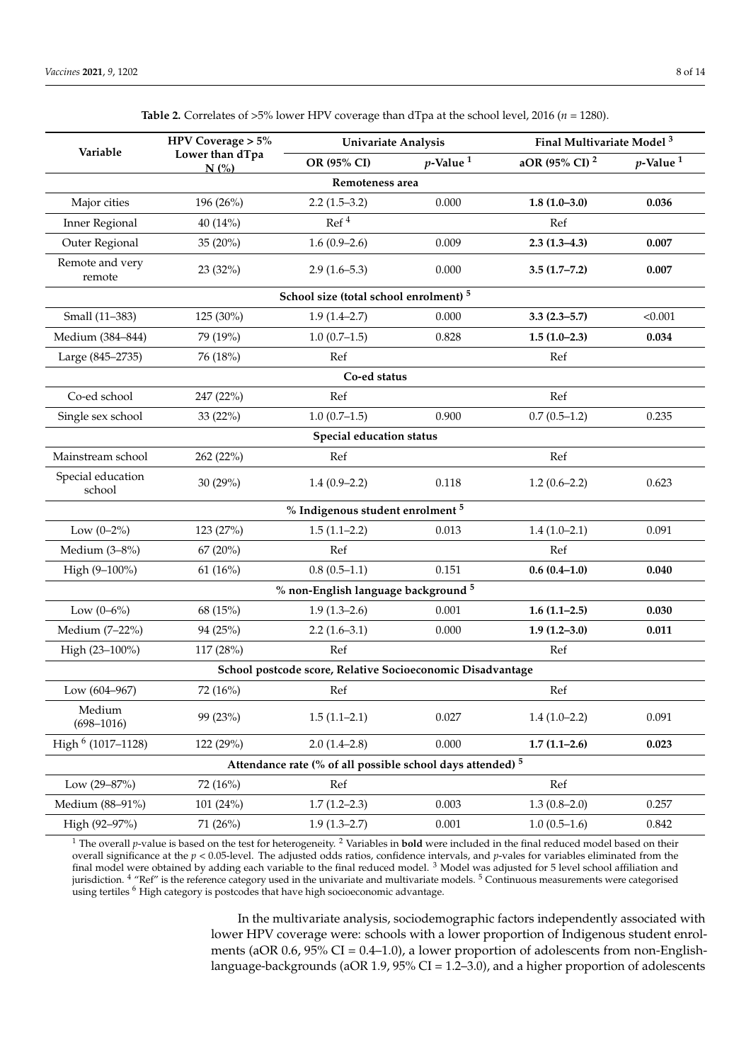<span id="page-8-0"></span>

|                             | HPV Coverage > 5%<br>Lower than dTpa<br>N(%) | Univariate Analysis                                                   |                         | Final Multivariate Model <sup>3</sup> |                         |
|-----------------------------|----------------------------------------------|-----------------------------------------------------------------------|-------------------------|---------------------------------------|-------------------------|
| Variable                    |                                              | OR (95% CI)                                                           | $p$ -Value <sup>1</sup> | aOR (95% CI) <sup>2</sup>             | $p$ -Value <sup>1</sup> |
|                             |                                              | Remoteness area                                                       |                         |                                       |                         |
| Major cities                | 196 (26%)                                    | $2.2(1.5-3.2)$                                                        | 0.000                   | $1.8(1.0-3.0)$                        | 0.036                   |
| Inner Regional              | 40 (14%)                                     | Ref <sup>4</sup>                                                      |                         | Ref                                   |                         |
| Outer Regional              | 35 (20%)                                     | $1.6(0.9-2.6)$                                                        | 0.009                   | $2.3(1.3-4.3)$                        | 0.007                   |
| Remote and very<br>remote   | 23 (32%)                                     | $2.9(1.6-5.3)$                                                        | 0.000                   | $3.5(1.7 - 7.2)$                      | 0.007                   |
|                             |                                              | School size (total school enrolment) <sup>5</sup>                     |                         |                                       |                         |
| Small (11-383)              | 125 (30%)                                    | $1.9(1.4 - 2.7)$                                                      | 0.000                   | $3.3(2.3 - 5.7)$                      | < 0.001                 |
| Medium (384-844)            | 79 (19%)                                     | $1.0(0.7-1.5)$                                                        | 0.828                   | $1.5(1.0-2.3)$                        | 0.034                   |
| Large (845-2735)            | 76 (18%)                                     | Ref                                                                   |                         | Ref                                   |                         |
|                             |                                              | Co-ed status                                                          |                         |                                       |                         |
| Co-ed school                | 247 (22%)                                    | Ref                                                                   |                         | Ref                                   |                         |
| Single sex school           | 33 (22%)                                     | $1.0(0.7-1.5)$                                                        | 0.900                   | $0.7(0.5-1.2)$                        | 0.235                   |
|                             |                                              | Special education status                                              |                         |                                       |                         |
| Mainstream school           | 262 (22%)                                    | Ref                                                                   |                         | Ref                                   |                         |
| Special education<br>school | 30(29%)                                      | $1.4(0.9-2.2)$                                                        | 0.118                   | $1.2(0.6-2.2)$                        | 0.623                   |
|                             |                                              | % Indigenous student enrolment 5                                      |                         |                                       |                         |
| Low $(0-2\%)$               | 123 (27%)                                    | $1.5(1.1-2.2)$                                                        | 0.013                   | $1.4(1.0-2.1)$                        | 0.091                   |
| Medium (3-8%)               | 67 (20%)                                     | Ref                                                                   |                         | Ref                                   |                         |
| High (9-100%)               | 61(16%)                                      | $0.8(0.5-1.1)$                                                        | 0.151                   | $0.6(0.4-1.0)$                        | 0.040                   |
|                             |                                              | % non-English language background 5                                   |                         |                                       |                         |
| Low $(0-6\%)$               | 68 (15%)                                     | $1.9(1.3-2.6)$                                                        | 0.001                   | $1.6(1.1-2.5)$                        | 0.030                   |
| Medium (7-22%)              | 94 (25%)                                     | $2.2(1.6-3.1)$                                                        | 0.000                   | $1.9(1.2 - 3.0)$                      | 0.011                   |
| High (23-100%)              | 117 (28%)                                    | Ref                                                                   |                         | Ref                                   |                         |
|                             |                                              | School postcode score, Relative Socioeconomic Disadvantage            |                         |                                       |                         |
| Low (604-967)               | 72 (16%)                                     | Ref                                                                   |                         | Ref                                   |                         |
| Medium<br>$(698 - 1016)$    | 99 (23%)                                     | $1.5(1.1-2.1)$                                                        | 0.027                   | $1.4(1.0-2.2)$                        | 0.091                   |
| High $6$ (1017–1128)        | 122 (29%)                                    | $2.0(1.4-2.8)$                                                        | 0.000                   | $1.7(1.1-2.6)$                        | 0.023                   |
|                             |                                              | Attendance rate (% of all possible school days attended) <sup>5</sup> |                         |                                       |                         |
| Low (29-87%)                | 72 (16%)                                     | Ref                                                                   |                         | Ref                                   |                         |
| Medium (88-91%)             | 101 (24%)                                    | $1.7(1.2-2.3)$                                                        | 0.003                   | $1.3(0.8-2.0)$                        | 0.257                   |
| High (92-97%)               | 71 (26%)                                     | $1.9(1.3 - 2.7)$                                                      | 0.001                   | $1.0(0.5-1.6)$                        | 0.842                   |

**Table 2.** Correlates of >5% lower HPV coverage than dTpa at the school level, 2016 (*n* = 1280).

<sup>1</sup> The overall *p*-value is based on the test for heterogeneity. <sup>2</sup> Variables in **bold** were included in the final reduced model based on their overall significance at the *p* < 0.05-level. The adjusted odds ratios, confidence intervals, and *p*-vales for variables eliminated from the final model were obtained by adding each variable to the final reduced model.<sup>3</sup> Model was adjusted for 5 level school affiliation and jurisdiction. <sup>4</sup> "Ref" is the reference category used in the univariate and multivariate models. <sup>5</sup> Continuous measurements were categorised using tertiles <sup>6</sup> High category is postcodes that have high socioeconomic advantage.

> In the multivariate analysis, sociodemographic factors independently associated with lower HPV coverage were: schools with a lower proportion of Indigenous student enrolments (aOR  $0.6$ ,  $95\%$  CI =  $0.4-1.0$ ), a lower proportion of adolescents from non-Englishlanguage-backgrounds (aOR 1.9, 95% CI = 1.2–3.0), and a higher proportion of adolescents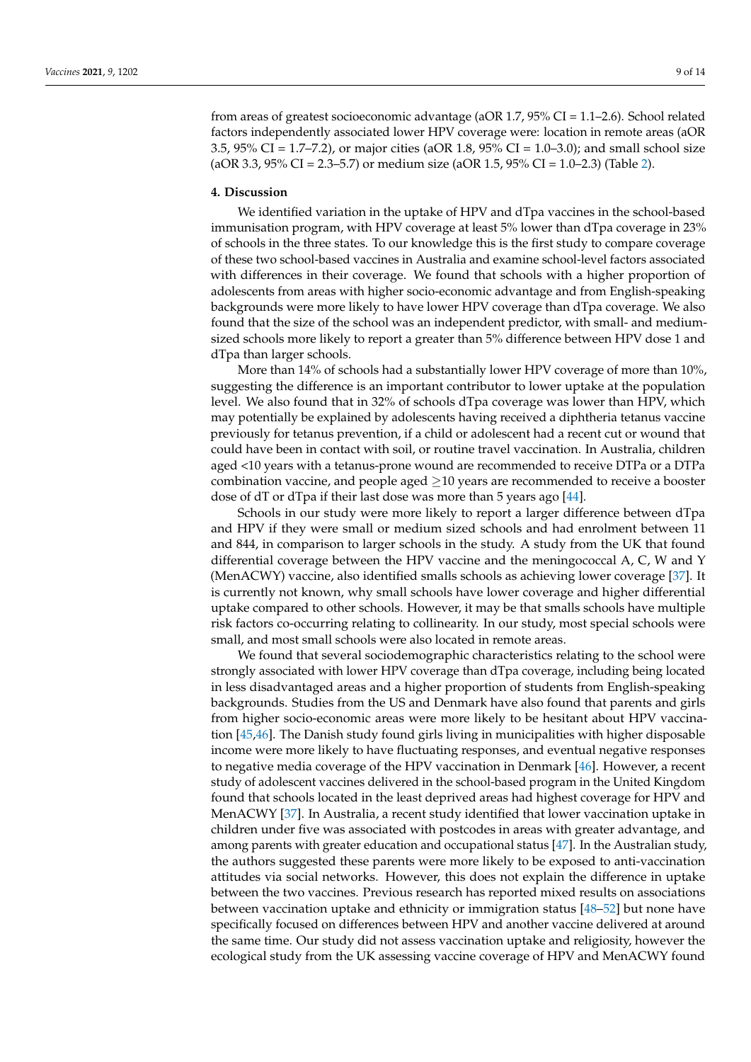from areas of greatest socioeconomic advantage (aOR 1.7, 95% CI = 1.1–2.6). School related factors independently associated lower HPV coverage were: location in remote areas (aOR 3.5, 95% CI = 1.7–7.2), or major cities (aOR 1.8, 95% CI = 1.0–3.0); and small school size  $(aOR 3.3, 95\% CI = 2.3-5.7)$  or medium size  $(aOR 1.5, 95\% CI = 1.0-2.3)$  (Table [2\)](#page-8-0).

#### **4. Discussion**

We identified variation in the uptake of HPV and dTpa vaccines in the school-based immunisation program, with HPV coverage at least 5% lower than dTpa coverage in 23% of schools in the three states. To our knowledge this is the first study to compare coverage of these two school-based vaccines in Australia and examine school-level factors associated with differences in their coverage. We found that schools with a higher proportion of adolescents from areas with higher socio-economic advantage and from English-speaking backgrounds were more likely to have lower HPV coverage than dTpa coverage. We also found that the size of the school was an independent predictor, with small- and mediumsized schools more likely to report a greater than 5% difference between HPV dose 1 and dTpa than larger schools.

More than 14% of schools had a substantially lower HPV coverage of more than 10%, suggesting the difference is an important contributor to lower uptake at the population level. We also found that in 32% of schools dTpa coverage was lower than HPV, which may potentially be explained by adolescents having received a diphtheria tetanus vaccine previously for tetanus prevention, if a child or adolescent had a recent cut or wound that could have been in contact with soil, or routine travel vaccination. In Australia, children aged <10 years with a tetanus-prone wound are recommended to receive DTPa or a DTPa combination vaccine, and people aged  $\geq$ 10 years are recommended to receive a booster dose of dT or dTpa if their last dose was more than 5 years ago [\[44\]](#page-13-10).

Schools in our study were more likely to report a larger difference between dTpa and HPV if they were small or medium sized schools and had enrolment between 11 and 844, in comparison to larger schools in the study. A study from the UK that found differential coverage between the HPV vaccine and the meningococcal A, C, W and Y (MenACWY) vaccine, also identified smalls schools as achieving lower coverage [\[37\]](#page-13-4). It is currently not known, why small schools have lower coverage and higher differential uptake compared to other schools. However, it may be that smalls schools have multiple risk factors co-occurring relating to collinearity. In our study, most special schools were small, and most small schools were also located in remote areas.

We found that several sociodemographic characteristics relating to the school were strongly associated with lower HPV coverage than dTpa coverage, including being located in less disadvantaged areas and a higher proportion of students from English-speaking backgrounds. Studies from the US and Denmark have also found that parents and girls from higher socio-economic areas were more likely to be hesitant about HPV vaccination [\[45](#page-13-11)[,46\]](#page-13-12). The Danish study found girls living in municipalities with higher disposable income were more likely to have fluctuating responses, and eventual negative responses to negative media coverage of the HPV vaccination in Denmark [\[46\]](#page-13-12). However, a recent study of adolescent vaccines delivered in the school-based program in the United Kingdom found that schools located in the least deprived areas had highest coverage for HPV and MenACWY [\[37\]](#page-13-4). In Australia, a recent study identified that lower vaccination uptake in children under five was associated with postcodes in areas with greater advantage, and among parents with greater education and occupational status [\[47\]](#page-13-13). In the Australian study, the authors suggested these parents were more likely to be exposed to anti-vaccination attitudes via social networks. However, this does not explain the difference in uptake between the two vaccines. Previous research has reported mixed results on associations between vaccination uptake and ethnicity or immigration status [\[48](#page-13-14)[–52\]](#page-13-15) but none have specifically focused on differences between HPV and another vaccine delivered at around the same time. Our study did not assess vaccination uptake and religiosity, however the ecological study from the UK assessing vaccine coverage of HPV and MenACWY found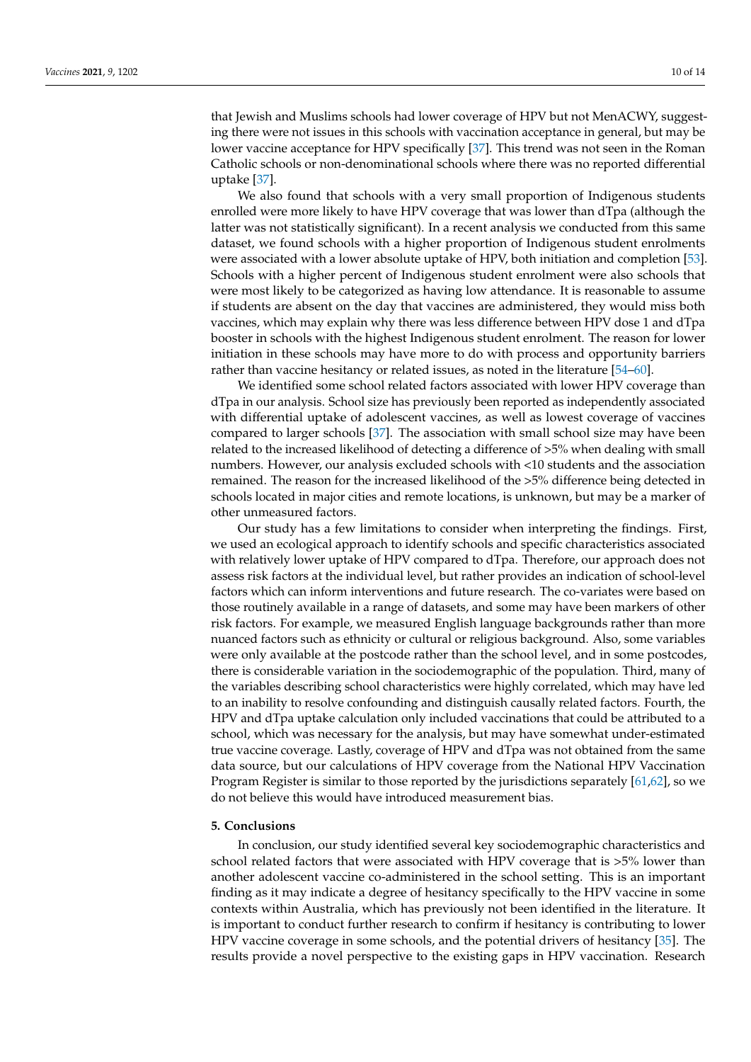that Jewish and Muslims schools had lower coverage of HPV but not MenACWY, suggesting there were not issues in this schools with vaccination acceptance in general, but may be lower vaccine acceptance for HPV specifically [\[37\]](#page-13-4). This trend was not seen in the Roman Catholic schools or non-denominational schools where there was no reported differential uptake [\[37\]](#page-13-4).

We also found that schools with a very small proportion of Indigenous students enrolled were more likely to have HPV coverage that was lower than dTpa (although the latter was not statistically significant). In a recent analysis we conducted from this same dataset, we found schools with a higher proportion of Indigenous student enrolments were associated with a lower absolute uptake of HPV, both initiation and completion [\[53\]](#page-13-16). Schools with a higher percent of Indigenous student enrolment were also schools that were most likely to be categorized as having low attendance. It is reasonable to assume if students are absent on the day that vaccines are administered, they would miss both vaccines, which may explain why there was less difference between HPV dose 1 and dTpa booster in schools with the highest Indigenous student enrolment. The reason for lower initiation in these schools may have more to do with process and opportunity barriers rather than vaccine hesitancy or related issues, as noted in the literature [\[54–](#page-13-17)[60\]](#page-14-0).

We identified some school related factors associated with lower HPV coverage than dTpa in our analysis. School size has previously been reported as independently associated with differential uptake of adolescent vaccines, as well as lowest coverage of vaccines compared to larger schools [\[37\]](#page-13-4). The association with small school size may have been related to the increased likelihood of detecting a difference of >5% when dealing with small numbers. However, our analysis excluded schools with <10 students and the association remained. The reason for the increased likelihood of the >5% difference being detected in schools located in major cities and remote locations, is unknown, but may be a marker of other unmeasured factors.

Our study has a few limitations to consider when interpreting the findings. First, we used an ecological approach to identify schools and specific characteristics associated with relatively lower uptake of HPV compared to dTpa. Therefore, our approach does not assess risk factors at the individual level, but rather provides an indication of school-level factors which can inform interventions and future research. The co-variates were based on those routinely available in a range of datasets, and some may have been markers of other risk factors. For example, we measured English language backgrounds rather than more nuanced factors such as ethnicity or cultural or religious background. Also, some variables were only available at the postcode rather than the school level, and in some postcodes, there is considerable variation in the sociodemographic of the population. Third, many of the variables describing school characteristics were highly correlated, which may have led to an inability to resolve confounding and distinguish causally related factors. Fourth, the HPV and dTpa uptake calculation only included vaccinations that could be attributed to a school, which was necessary for the analysis, but may have somewhat under-estimated true vaccine coverage. Lastly, coverage of HPV and dTpa was not obtained from the same data source, but our calculations of HPV coverage from the National HPV Vaccination Program Register is similar to those reported by the jurisdictions separately [\[61](#page-14-1)[,62\]](#page-14-2), so we do not believe this would have introduced measurement bias.

## **5. Conclusions**

In conclusion, our study identified several key sociodemographic characteristics and school related factors that were associated with HPV coverage that is >5% lower than another adolescent vaccine co-administered in the school setting. This is an important finding as it may indicate a degree of hesitancy specifically to the HPV vaccine in some contexts within Australia, which has previously not been identified in the literature. It is important to conduct further research to confirm if hesitancy is contributing to lower HPV vaccine coverage in some schools, and the potential drivers of hesitancy [\[35\]](#page-13-2). The results provide a novel perspective to the existing gaps in HPV vaccination. Research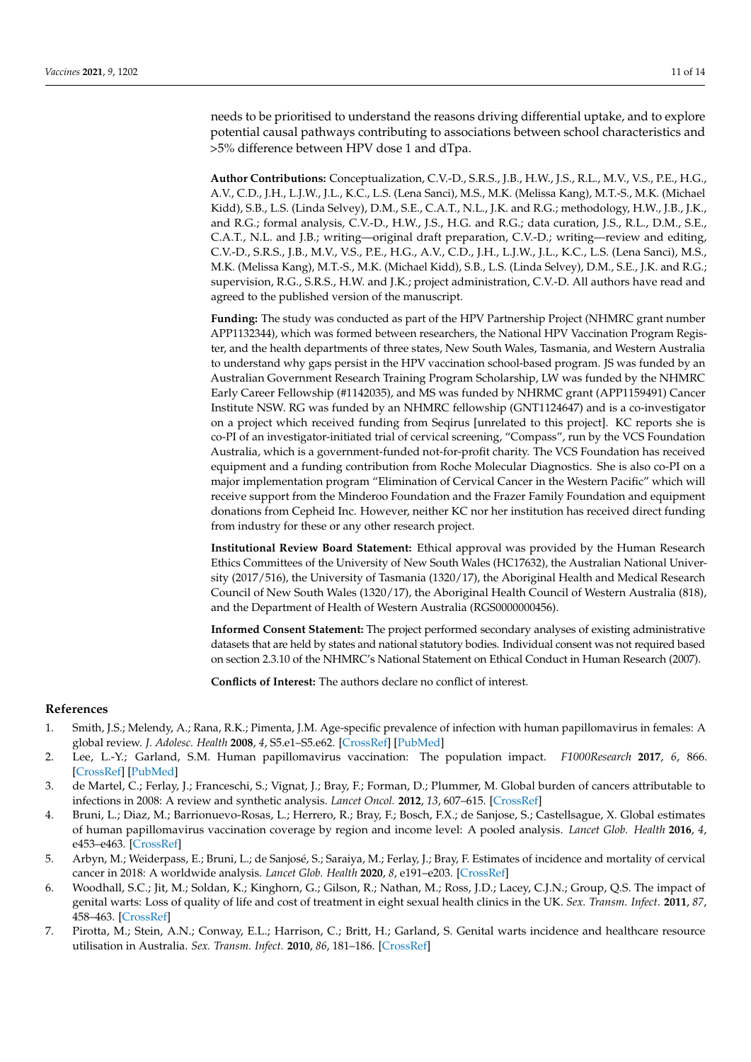needs to be prioritised to understand the reasons driving differential uptake, and to explore potential causal pathways contributing to associations between school characteristics and >5% difference between HPV dose 1 and dTpa.

**Author Contributions:** Conceptualization, C.V.-D., S.R.S., J.B., H.W., J.S., R.L., M.V., V.S., P.E., H.G., A.V., C.D., J.H., L.J.W., J.L., K.C., L.S. (Lena Sanci), M.S., M.K. (Melissa Kang), M.T.-S., M.K. (Michael Kidd), S.B., L.S. (Linda Selvey), D.M., S.E., C.A.T., N.L., J.K. and R.G.; methodology, H.W., J.B., J.K., and R.G.; formal analysis, C.V.-D., H.W., J.S., H.G. and R.G.; data curation, J.S., R.L., D.M., S.E., C.A.T., N.L. and J.B.; writing—original draft preparation, C.V.-D.; writing—review and editing, C.V.-D., S.R.S., J.B., M.V., V.S., P.E., H.G., A.V., C.D., J.H., L.J.W., J.L., K.C., L.S. (Lena Sanci), M.S., M.K. (Melissa Kang), M.T.-S., M.K. (Michael Kidd), S.B., L.S. (Linda Selvey), D.M., S.E., J.K. and R.G.; supervision, R.G., S.R.S., H.W. and J.K.; project administration, C.V.-D. All authors have read and agreed to the published version of the manuscript.

**Funding:** The study was conducted as part of the HPV Partnership Project (NHMRC grant number APP1132344), which was formed between researchers, the National HPV Vaccination Program Register, and the health departments of three states, New South Wales, Tasmania, and Western Australia to understand why gaps persist in the HPV vaccination school-based program. JS was funded by an Australian Government Research Training Program Scholarship, LW was funded by the NHMRC Early Career Fellowship (#1142035), and MS was funded by NHRMC grant (APP1159491) Cancer Institute NSW. RG was funded by an NHMRC fellowship (GNT1124647) and is a co-investigator on a project which received funding from Seqirus [unrelated to this project]. KC reports she is co-PI of an investigator-initiated trial of cervical screening, "Compass", run by the VCS Foundation Australia, which is a government-funded not-for-profit charity. The VCS Foundation has received equipment and a funding contribution from Roche Molecular Diagnostics. She is also co-PI on a major implementation program "Elimination of Cervical Cancer in the Western Pacific" which will receive support from the Minderoo Foundation and the Frazer Family Foundation and equipment donations from Cepheid Inc. However, neither KC nor her institution has received direct funding from industry for these or any other research project.

**Institutional Review Board Statement:** Ethical approval was provided by the Human Research Ethics Committees of the University of New South Wales (HC17632), the Australian National University (2017/516), the University of Tasmania (1320/17), the Aboriginal Health and Medical Research Council of New South Wales (1320/17), the Aboriginal Health Council of Western Australia (818), and the Department of Health of Western Australia (RGS0000000456).

**Informed Consent Statement:** The project performed secondary analyses of existing administrative datasets that are held by states and national statutory bodies. Individual consent was not required based on section 2.3.10 of the NHMRC's National Statement on Ethical Conduct in Human Research (2007).

**Conflicts of Interest:** The authors declare no conflict of interest.

#### **References**

- <span id="page-11-0"></span>1. Smith, J.S.; Melendy, A.; Rana, R.K.; Pimenta, J.M. Age-specific prevalence of infection with human papillomavirus in females: A global review. *J. Adolesc. Health* **2008**, *4*, S5.e1–S5.e62. [\[CrossRef\]](http://doi.org/10.1016/j.jadohealth.2008.07.009) [\[PubMed\]](http://www.ncbi.nlm.nih.gov/pubmed/18809145)
- <span id="page-11-1"></span>2. Lee, L.-Y.; Garland, S.M. Human papillomavirus vaccination: The population impact. *F1000Research* **2017**, *6*, 866. [\[CrossRef\]](http://doi.org/10.12688/f1000research.10691.1) [\[PubMed\]](http://www.ncbi.nlm.nih.gov/pubmed/28663791)
- <span id="page-11-2"></span>3. de Martel, C.; Ferlay, J.; Franceschi, S.; Vignat, J.; Bray, F.; Forman, D.; Plummer, M. Global burden of cancers attributable to infections in 2008: A review and synthetic analysis. *Lancet Oncol.* **2012**, *13*, 607–615. [\[CrossRef\]](http://doi.org/10.1016/S1470-2045(12)70137-7)
- <span id="page-11-3"></span>4. Bruni, L.; Diaz, M.; Barrionuevo-Rosas, L.; Herrero, R.; Bray, F.; Bosch, F.X.; de Sanjose, S.; Castellsague, X. Global estimates of human papillomavirus vaccination coverage by region and income level: A pooled analysis. *Lancet Glob. Health* **2016**, *4*, e453–e463. [\[CrossRef\]](http://doi.org/10.1016/S2214-109X(16)30099-7)
- <span id="page-11-4"></span>5. Arbyn, M.; Weiderpass, E.; Bruni, L.; de Sanjosé, S.; Saraiya, M.; Ferlay, J.; Bray, F. Estimates of incidence and mortality of cervical cancer in 2018: A worldwide analysis. *Lancet Glob. Health* **2020**, *8*, e191–e203. [\[CrossRef\]](http://doi.org/10.1016/S2214-109X(19)30482-6)
- <span id="page-11-5"></span>6. Woodhall, S.C.; Jit, M.; Soldan, K.; Kinghorn, G.; Gilson, R.; Nathan, M.; Ross, J.D.; Lacey, C.J.N.; Group, Q.S. The impact of genital warts: Loss of quality of life and cost of treatment in eight sexual health clinics in the UK. *Sex. Transm. Infect.* **2011**, *87*, 458–463. [\[CrossRef\]](http://doi.org/10.1136/sextrans-2011-050073)
- 7. Pirotta, M.; Stein, A.N.; Conway, E.L.; Harrison, C.; Britt, H.; Garland, S. Genital warts incidence and healthcare resource utilisation in Australia. *Sex. Transm. Infect.* **2010**, *86*, 181–186. [\[CrossRef\]](http://doi.org/10.1136/sti.2009.040188)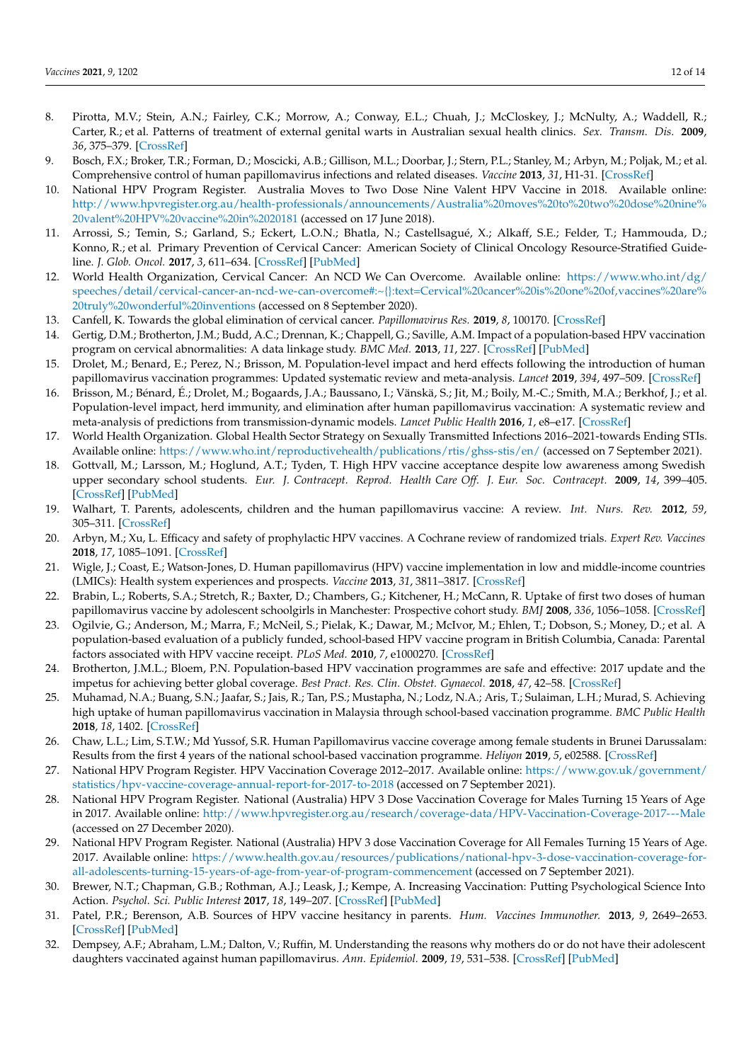- <span id="page-12-0"></span>8. Pirotta, M.V.; Stein, A.N.; Fairley, C.K.; Morrow, A.; Conway, E.L.; Chuah, J.; McCloskey, J.; McNulty, A.; Waddell, R.; Carter, R.; et al. Patterns of treatment of external genital warts in Australian sexual health clinics. *Sex. Transm. Dis.* **2009**, *36*, 375–379. [\[CrossRef\]](http://doi.org/10.1097/OLQ.0b013e3181971e4e)
- <span id="page-12-1"></span>9. Bosch, F.X.; Broker, T.R.; Forman, D.; Moscicki, A.B.; Gillison, M.L.; Doorbar, J.; Stern, P.L.; Stanley, M.; Arbyn, M.; Poljak, M.; et al. Comprehensive control of human papillomavirus infections and related diseases. *Vaccine* **2013**, *31*, H1-31. [\[CrossRef\]](http://doi.org/10.1016/j.vaccine.2013.10.003)
- <span id="page-12-2"></span>10. National HPV Program Register. Australia Moves to Two Dose Nine Valent HPV Vaccine in 2018. Available online: [http://www.hpvregister.org.au/health-professionals/announcements/Australia%20moves%20to%20two%20dose%20nine%](http://www.hpvregister.org.au/health-professionals/announcements/Australia%20moves%20to%20two%20dose%20nine%20valent%20HPV%20vaccine%20in%2020181) [20valent%20HPV%20vaccine%20in%2020181](http://www.hpvregister.org.au/health-professionals/announcements/Australia%20moves%20to%20two%20dose%20nine%20valent%20HPV%20vaccine%20in%2020181) (accessed on 17 June 2018).
- <span id="page-12-3"></span>11. Arrossi, S.; Temin, S.; Garland, S.; Eckert, L.O.N.; Bhatla, N.; Castellsagué, X.; Alkaff, S.E.; Felder, T.; Hammouda, D.; Konno, R.; et al. Primary Prevention of Cervical Cancer: American Society of Clinical Oncology Resource-Stratified Guideline. *J. Glob. Oncol.* **2017**, *3*, 611–634. [\[CrossRef\]](http://doi.org/10.1200/JGO.2016.008151) [\[PubMed\]](http://www.ncbi.nlm.nih.gov/pubmed/29094100)
- <span id="page-12-4"></span>12. World Health Organization, Cervical Cancer: An NCD We Can Overcome. Available online: [https://www.who.int/dg/](https://www.who.int/dg/speeches/detail/cervical-cancer-an-ncd-we-can-overcome#:~{}:text=Cervical%20cancer%20is%20one%20of,vaccines%20are%20truly%20wonderful%20inventions) [speeches/detail/cervical-cancer-an-ncd-we-can-overcome#:~{}:text=Cervical%20cancer%20is%20one%20of,vaccines%20are%](https://www.who.int/dg/speeches/detail/cervical-cancer-an-ncd-we-can-overcome#:~{}:text=Cervical%20cancer%20is%20one%20of,vaccines%20are%20truly%20wonderful%20inventions) [20truly%20wonderful%20inventions](https://www.who.int/dg/speeches/detail/cervical-cancer-an-ncd-we-can-overcome#:~{}:text=Cervical%20cancer%20is%20one%20of,vaccines%20are%20truly%20wonderful%20inventions) (accessed on 8 September 2020).
- <span id="page-12-5"></span>13. Canfell, K. Towards the global elimination of cervical cancer. *Papillomavirus Res.* **2019**, *8*, 100170. [\[CrossRef\]](http://doi.org/10.1016/j.pvr.2019.100170)
- <span id="page-12-6"></span>14. Gertig, D.M.; Brotherton, J.M.; Budd, A.C.; Drennan, K.; Chappell, G.; Saville, A.M. Impact of a population-based HPV vaccination program on cervical abnormalities: A data linkage study. *BMC Med.* **2013**, *11*, 227. [\[CrossRef\]](http://doi.org/10.1186/1741-7015-11-227) [\[PubMed\]](http://www.ncbi.nlm.nih.gov/pubmed/24148310)
- 15. Drolet, M.; Benard, E.; Perez, N.; Brisson, M. Population-level impact and herd effects following the introduction of human papillomavirus vaccination programmes: Updated systematic review and meta-analysis. *Lancet* **2019**, *394*, 497–509. [\[CrossRef\]](http://doi.org/10.1016/S0140-6736(19)30298-3)
- <span id="page-12-7"></span>16. Brisson, M.; Bénard, É.; Drolet, M.; Bogaards, J.A.; Baussano, I.; Vänskä, S.; Jit, M.; Boily, M.-C.; Smith, M.A.; Berkhof, J.; et al. Population-level impact, herd immunity, and elimination after human papillomavirus vaccination: A systematic review and meta-analysis of predictions from transmission-dynamic models. *Lancet Public Health* **2016**, *1*, e8–e17. [\[CrossRef\]](http://doi.org/10.1016/S2468-2667(16)30001-9)
- <span id="page-12-8"></span>17. World Health Organization. Global Health Sector Strategy on Sexually Transmitted Infections 2016–2021-towards Ending STIs. Available online: <https://www.who.int/reproductivehealth/publications/rtis/ghss-stis/en/> (accessed on 7 September 2021).
- <span id="page-12-9"></span>18. Gottvall, M.; Larsson, M.; Hoglund, A.T.; Tyden, T. High HPV vaccine acceptance despite low awareness among Swedish upper secondary school students. *Eur. J. Contracept. Reprod. Health Care Off. J. Eur. Soc. Contracept.* **2009**, *14*, 399–405. [\[CrossRef\]](http://doi.org/10.3109/13625180903229605) [\[PubMed\]](http://www.ncbi.nlm.nih.gov/pubmed/19929642)
- 19. Walhart, T. Parents, adolescents, children and the human papillomavirus vaccine: A review. *Int. Nurs. Rev.* **2012**, *59*, 305–311. [\[CrossRef\]](http://doi.org/10.1111/j.1466-7657.2012.00991.x)
- <span id="page-12-10"></span>20. Arbyn, M.; Xu, L. Efficacy and safety of prophylactic HPV vaccines. A Cochrane review of randomized trials. *Expert Rev. Vaccines* **2018**, *17*, 1085–1091. [\[CrossRef\]](http://doi.org/10.1080/14760584.2018.1548282)
- <span id="page-12-11"></span>21. Wigle, J.; Coast, E.; Watson-Jones, D. Human papillomavirus (HPV) vaccine implementation in low and middle-income countries (LMICs): Health system experiences and prospects. *Vaccine* **2013**, *31*, 3811–3817. [\[CrossRef\]](http://doi.org/10.1016/j.vaccine.2013.06.016)
- 22. Brabin, L.; Roberts, S.A.; Stretch, R.; Baxter, D.; Chambers, G.; Kitchener, H.; McCann, R. Uptake of first two doses of human papillomavirus vaccine by adolescent schoolgirls in Manchester: Prospective cohort study. *BMJ* **2008**, *336*, 1056–1058. [\[CrossRef\]](http://doi.org/10.1136/bmj.39541.534109.BE)
- 23. Ogilvie, G.; Anderson, M.; Marra, F.; McNeil, S.; Pielak, K.; Dawar, M.; McIvor, M.; Ehlen, T.; Dobson, S.; Money, D.; et al. A population-based evaluation of a publicly funded, school-based HPV vaccine program in British Columbia, Canada: Parental factors associated with HPV vaccine receipt. *PLoS Med.* **2010**, *7*, e1000270. [\[CrossRef\]](http://doi.org/10.1371/journal.pmed.1000270)
- 24. Brotherton, J.M.L.; Bloem, P.N. Population-based HPV vaccination programmes are safe and effective: 2017 update and the impetus for achieving better global coverage. *Best Pract. Res. Clin. Obstet. Gynaecol.* **2018**, *47*, 42–58. [\[CrossRef\]](http://doi.org/10.1016/j.bpobgyn.2017.08.010)
- 25. Muhamad, N.A.; Buang, S.N.; Jaafar, S.; Jais, R.; Tan, P.S.; Mustapha, N.; Lodz, N.A.; Aris, T.; Sulaiman, L.H.; Murad, S. Achieving high uptake of human papillomavirus vaccination in Malaysia through school-based vaccination programme. *BMC Public Health* **2018**, *18*, 1402. [\[CrossRef\]](http://doi.org/10.1186/s12889-018-6316-6)
- <span id="page-12-12"></span>26. Chaw, L.L.; Lim, S.T.W.; Md Yussof, S.R. Human Papillomavirus vaccine coverage among female students in Brunei Darussalam: Results from the first 4 years of the national school-based vaccination programme. *Heliyon* **2019**, *5*, e02588. [\[CrossRef\]](http://doi.org/10.1016/j.heliyon.2019.e02588)
- <span id="page-12-13"></span>27. National HPV Program Register. HPV Vaccination Coverage 2012–2017. Available online: [https://www.gov.uk/government/](https://www.gov.uk/government/statistics/hpv-vaccine-coverage-annual-report-for-2017-to-2018) [statistics/hpv-vaccine-coverage-annual-report-for-2017-to-2018](https://www.gov.uk/government/statistics/hpv-vaccine-coverage-annual-report-for-2017-to-2018) (accessed on 7 September 2021).
- <span id="page-12-14"></span>28. National HPV Program Register. National (Australia) HPV 3 Dose Vaccination Coverage for Males Turning 15 Years of Age in 2017. Available online: <http://www.hpvregister.org.au/research/coverage-data/HPV-Vaccination-Coverage-2017---Male> (accessed on 27 December 2020).
- <span id="page-12-15"></span>29. National HPV Program Register. National (Australia) HPV 3 dose Vaccination Coverage for All Females Turning 15 Years of Age. 2017. Available online: [https://www.health.gov.au/resources/publications/national-hpv-3-dose-vaccination-coverage-for](https://www.health.gov.au/resources/publications/national-hpv-3-dose-vaccination-coverage-for-all-adolescents-turning-15-years-of-age-from-year-of-program-commencement)[all-adolescents-turning-15-years-of-age-from-year-of-program-commencement](https://www.health.gov.au/resources/publications/national-hpv-3-dose-vaccination-coverage-for-all-adolescents-turning-15-years-of-age-from-year-of-program-commencement) (accessed on 7 September 2021).
- <span id="page-12-16"></span>30. Brewer, N.T.; Chapman, G.B.; Rothman, A.J.; Leask, J.; Kempe, A. Increasing Vaccination: Putting Psychological Science Into Action. *Psychol. Sci. Public Interest* **2017**, *18*, 149–207. [\[CrossRef\]](http://doi.org/10.1177/1529100618760521) [\[PubMed\]](http://www.ncbi.nlm.nih.gov/pubmed/29611455)
- <span id="page-12-17"></span>31. Patel, P.R.; Berenson, A.B. Sources of HPV vaccine hesitancy in parents. *Hum. Vaccines Immunother.* **2013**, *9*, 2649–2653. [\[CrossRef\]](http://doi.org/10.4161/hv.26224) [\[PubMed\]](http://www.ncbi.nlm.nih.gov/pubmed/23982270)
- <span id="page-12-18"></span>32. Dempsey, A.F.; Abraham, L.M.; Dalton, V.; Ruffin, M. Understanding the reasons why mothers do or do not have their adolescent daughters vaccinated against human papillomavirus. *Ann. Epidemiol.* **2009**, *19*, 531–538. [\[CrossRef\]](http://doi.org/10.1016/j.annepidem.2009.03.011) [\[PubMed\]](http://www.ncbi.nlm.nih.gov/pubmed/19394865)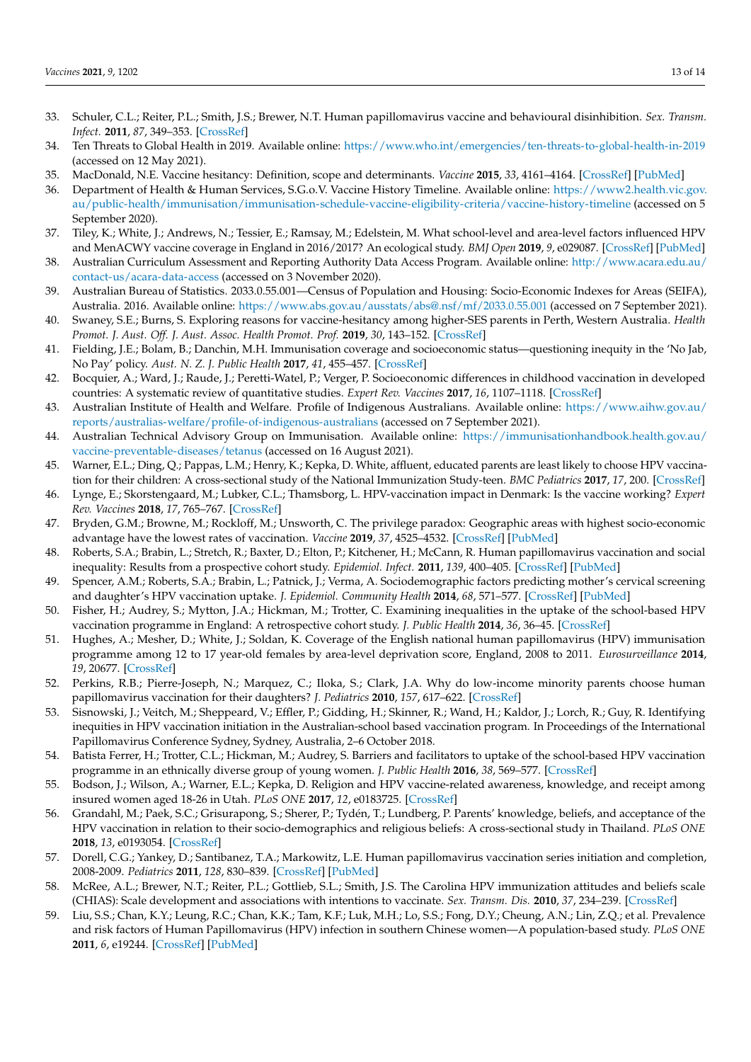- <span id="page-13-0"></span>33. Schuler, C.L.; Reiter, P.L.; Smith, J.S.; Brewer, N.T. Human papillomavirus vaccine and behavioural disinhibition. *Sex. Transm. Infect.* **2011**, *87*, 349–353. [\[CrossRef\]](http://doi.org/10.1136/sti.2010.048017)
- <span id="page-13-1"></span>34. Ten Threats to Global Health in 2019. Available online: <https://www.who.int/emergencies/ten-threats-to-global-health-in-2019> (accessed on 12 May 2021).
- <span id="page-13-2"></span>35. MacDonald, N.E. Vaccine hesitancy: Definition, scope and determinants. *Vaccine* **2015**, *33*, 4161–4164. [\[CrossRef\]](http://doi.org/10.1016/j.vaccine.2015.04.036) [\[PubMed\]](http://www.ncbi.nlm.nih.gov/pubmed/25896383)
- <span id="page-13-3"></span>36. Department of Health & Human Services, S.G.o.V. Vaccine History Timeline. Available online: [https://www2.health.vic.gov.](https://www2.health.vic.gov.au/public-health/immunisation/immunisation-schedule-vaccine-eligibility-criteria/vaccine-history-timeline) [au/public-health/immunisation/immunisation-schedule-vaccine-eligibility-criteria/vaccine-history-timeline](https://www2.health.vic.gov.au/public-health/immunisation/immunisation-schedule-vaccine-eligibility-criteria/vaccine-history-timeline) (accessed on 5 September 2020).
- <span id="page-13-4"></span>37. Tiley, K.; White, J.; Andrews, N.; Tessier, E.; Ramsay, M.; Edelstein, M. What school-level and area-level factors influenced HPV and MenACWY vaccine coverage in England in 2016/2017? An ecological study. *BMJ Open* **2019**, *9*, e029087. [\[CrossRef\]](http://doi.org/10.1136/bmjopen-2019-029087) [\[PubMed\]](http://www.ncbi.nlm.nih.gov/pubmed/31300506)
- <span id="page-13-5"></span>38. Australian Curriculum Assessment and Reporting Authority Data Access Program. Available online: [http://www.acara.edu.au/](http://www.acara.edu.au/contact-us/acara-data-access) [contact-us/acara-data-access](http://www.acara.edu.au/contact-us/acara-data-access) (accessed on 3 November 2020).
- <span id="page-13-6"></span>39. Australian Bureau of Statistics. 2033.0.55.001—Census of Population and Housing: Socio-Economic Indexes for Areas (SEIFA), Australia. 2016. Available online: <https://www.abs.gov.au/ausstats/abs@.nsf/mf/2033.0.55.001> (accessed on 7 September 2021).
- <span id="page-13-7"></span>40. Swaney, S.E.; Burns, S. Exploring reasons for vaccine-hesitancy among higher-SES parents in Perth, Western Australia. *Health Promot. J. Aust. Off. J. Aust. Assoc. Health Promot. Prof.* **2019**, *30*, 143–152. [\[CrossRef\]](http://doi.org/10.1002/hpja.190)
- 41. Fielding, J.E.; Bolam, B.; Danchin, M.H. Immunisation coverage and socioeconomic status—questioning inequity in the 'No Jab, No Pay' policy. *Aust. N. Z. J. Public Health* **2017**, *41*, 455–457. [\[CrossRef\]](http://doi.org/10.1111/1753-6405.12676)
- <span id="page-13-8"></span>42. Bocquier, A.; Ward, J.; Raude, J.; Peretti-Watel, P.; Verger, P. Socioeconomic differences in childhood vaccination in developed countries: A systematic review of quantitative studies. *Expert Rev. Vaccines* **2017**, *16*, 1107–1118. [\[CrossRef\]](http://doi.org/10.1080/14760584.2017.1381020)
- <span id="page-13-9"></span>43. Australian Institute of Health and Welfare. Profile of Indigenous Australians. Available online: [https://www.aihw.gov.au/](https://www.aihw.gov.au/reports/australias-welfare/profile-of-indigenous-australians) [reports/australias-welfare/profile-of-indigenous-australians](https://www.aihw.gov.au/reports/australias-welfare/profile-of-indigenous-australians) (accessed on 7 September 2021).
- <span id="page-13-10"></span>44. Australian Technical Advisory Group on Immunisation. Available online: [https://immunisationhandbook.health.gov.au/](https://immunisationhandbook.health.gov.au/vaccine-preventable-diseases/tetanus) [vaccine-preventable-diseases/tetanus](https://immunisationhandbook.health.gov.au/vaccine-preventable-diseases/tetanus) (accessed on 16 August 2021).
- <span id="page-13-11"></span>45. Warner, E.L.; Ding, Q.; Pappas, L.M.; Henry, K.; Kepka, D. White, affluent, educated parents are least likely to choose HPV vaccination for their children: A cross-sectional study of the National Immunization Study-teen. *BMC Pediatrics* **2017**, *17*, 200. [\[CrossRef\]](http://doi.org/10.1186/s12887-017-0953-2)
- <span id="page-13-12"></span>46. Lynge, E.; Skorstengaard, M.; Lubker, C.L.; Thamsborg, L. HPV-vaccination impact in Denmark: Is the vaccine working? *Expert Rev. Vaccines* **2018**, *17*, 765–767. [\[CrossRef\]](http://doi.org/10.1080/14760584.2018.1509001)
- <span id="page-13-13"></span>47. Bryden, G.M.; Browne, M.; Rockloff, M.; Unsworth, C. The privilege paradox: Geographic areas with highest socio-economic advantage have the lowest rates of vaccination. *Vaccine* **2019**, *37*, 4525–4532. [\[CrossRef\]](http://doi.org/10.1016/j.vaccine.2019.06.060) [\[PubMed\]](http://www.ncbi.nlm.nih.gov/pubmed/31262584)
- <span id="page-13-14"></span>48. Roberts, S.A.; Brabin, L.; Stretch, R.; Baxter, D.; Elton, P.; Kitchener, H.; McCann, R. Human papillomavirus vaccination and social inequality: Results from a prospective cohort study. *Epidemiol. Infect.* **2011**, *139*, 400–405. [\[CrossRef\]](http://doi.org/10.1017/S095026881000066X) [\[PubMed\]](http://www.ncbi.nlm.nih.gov/pubmed/20334731)
- 49. Spencer, A.M.; Roberts, S.A.; Brabin, L.; Patnick, J.; Verma, A. Sociodemographic factors predicting mother's cervical screening and daughter's HPV vaccination uptake. *J. Epidemiol. Community Health* **2014**, *68*, 571–577. [\[CrossRef\]](http://doi.org/10.1136/jech-2013-202629) [\[PubMed\]](http://www.ncbi.nlm.nih.gov/pubmed/24567443)
- 50. Fisher, H.; Audrey, S.; Mytton, J.A.; Hickman, M.; Trotter, C. Examining inequalities in the uptake of the school-based HPV vaccination programme in England: A retrospective cohort study. *J. Public Health* **2014**, *36*, 36–45. [\[CrossRef\]](http://doi.org/10.1093/pubmed/fdt042)
- 51. Hughes, A.; Mesher, D.; White, J.; Soldan, K. Coverage of the English national human papillomavirus (HPV) immunisation programme among 12 to 17 year-old females by area-level deprivation score, England, 2008 to 2011. *Eurosurveillance* **2014**, *19*, 20677. [\[CrossRef\]](http://doi.org/10.2807/1560-7917.ES2014.19.2.20677)
- <span id="page-13-15"></span>52. Perkins, R.B.; Pierre-Joseph, N.; Marquez, C.; Iloka, S.; Clark, J.A. Why do low-income minority parents choose human papillomavirus vaccination for their daughters? *J. Pediatrics* **2010**, *157*, 617–622. [\[CrossRef\]](http://doi.org/10.1016/j.jpeds.2010.04.013)
- <span id="page-13-16"></span>53. Sisnowski, J.; Veitch, M.; Sheppeard, V.; Effler, P.; Gidding, H.; Skinner, R.; Wand, H.; Kaldor, J.; Lorch, R.; Guy, R. Identifying inequities in HPV vaccination initiation in the Australian-school based vaccination program. In Proceedings of the International Papillomavirus Conference Sydney, Sydney, Australia, 2–6 October 2018.
- <span id="page-13-17"></span>54. Batista Ferrer, H.; Trotter, C.L.; Hickman, M.; Audrey, S. Barriers and facilitators to uptake of the school-based HPV vaccination programme in an ethnically diverse group of young women. *J. Public Health* **2016**, *38*, 569–577. [\[CrossRef\]](http://doi.org/10.1093/pubmed/fdv073)
- 55. Bodson, J.; Wilson, A.; Warner, E.L.; Kepka, D. Religion and HPV vaccine-related awareness, knowledge, and receipt among insured women aged 18-26 in Utah. *PLoS ONE* **2017**, *12*, e0183725. [\[CrossRef\]](http://doi.org/10.1371/journal.pone.0183725)
- 56. Grandahl, M.; Paek, S.C.; Grisurapong, S.; Sherer, P.; Tydén, T.; Lundberg, P. Parents' knowledge, beliefs, and acceptance of the HPV vaccination in relation to their socio-demographics and religious beliefs: A cross-sectional study in Thailand. *PLoS ONE* **2018**, *13*, e0193054. [\[CrossRef\]](http://doi.org/10.1371/journal.pone.0193054)
- 57. Dorell, C.G.; Yankey, D.; Santibanez, T.A.; Markowitz, L.E. Human papillomavirus vaccination series initiation and completion, 2008-2009. *Pediatrics* **2011**, *128*, 830–839. [\[CrossRef\]](http://doi.org/10.1542/peds.2011-0950) [\[PubMed\]](http://www.ncbi.nlm.nih.gov/pubmed/22007006)
- 58. McRee, A.L.; Brewer, N.T.; Reiter, P.L.; Gottlieb, S.L.; Smith, J.S. The Carolina HPV immunization attitudes and beliefs scale (CHIAS): Scale development and associations with intentions to vaccinate. *Sex. Transm. Dis.* **2010**, *37*, 234–239. [\[CrossRef\]](http://doi.org/10.1097/OLQ.0b013e3181c37e15)
- 59. Liu, S.S.; Chan, K.Y.; Leung, R.C.; Chan, K.K.; Tam, K.F.; Luk, M.H.; Lo, S.S.; Fong, D.Y.; Cheung, A.N.; Lin, Z.Q.; et al. Prevalence and risk factors of Human Papillomavirus (HPV) infection in southern Chinese women—A population-based study. *PLoS ONE* **2011**, *6*, e19244. [\[CrossRef\]](http://doi.org/10.1371/journal.pone.0019244) [\[PubMed\]](http://www.ncbi.nlm.nih.gov/pubmed/21559276)